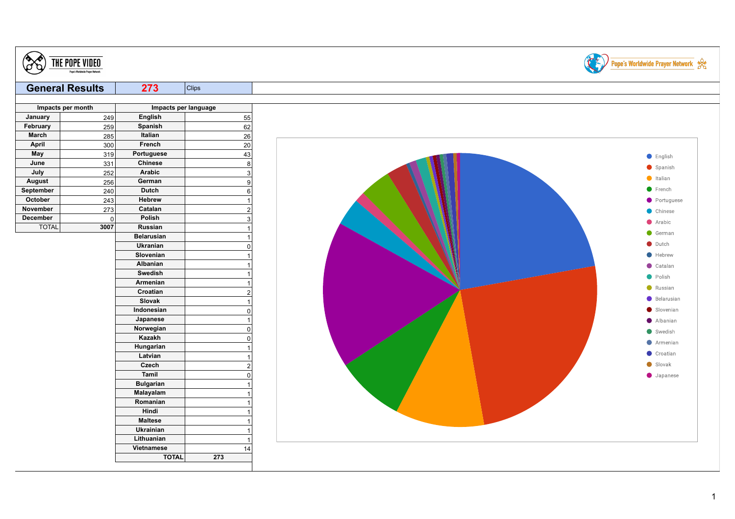| <b>General Results</b><br>273<br><b>Clips</b>     |                    |
|---------------------------------------------------|--------------------|
| Impacts per month<br>Impacts per language         |                    |
| <b>English</b><br>January<br>55<br>249            |                    |
| February<br>Spanish<br>259<br>62                  |                    |
| Italian<br>26<br>March<br>285                     |                    |
| April<br>French<br>20<br>300                      |                    |
| May<br>Portuguese<br>319<br>43                    | $\bullet$ English  |
| 8<br>June<br>331<br><b>Chinese</b>                | Spanish            |
| July<br>$\mathbf{3}$<br>252<br>Arabic             |                    |
| German<br><b>August</b><br>256<br>9               | $\bullet$ Italian  |
| Dutch<br>September<br>240<br>6                    | French             |
| October<br><b>Hebrew</b><br>243<br>$\overline{1}$ | Portuguese         |
| November<br>273<br>Catalan<br>$\overline{c}$      | Chinese            |
| Polish<br>December<br>$\overline{0}$<br>3         | Arabic             |
| <b>TOTAL</b><br>3007<br>Russian<br>$\overline{1}$ | German             |
| <b>Belarusian</b><br>$\overline{1}$               | $\bullet$ Dutch    |
| Ukranian<br>$\Omega$                              |                    |
| Slovenian<br>$\overline{1}$                       | $\bullet$ Hebrew   |
| Albanian<br>$\overline{1}$<br>Swedish             | $\bullet$ Catalan  |
| $\overline{1}$                                    | • Polish           |
| Armenian<br>$\overline{1}$<br>Croatian            | Russian            |
| $\overline{2}$<br>Slovak<br>$\overline{1}$        | Belarusian         |
| Indonesian<br>$\mathsf 0$                         | Slovenian          |
| Japanese<br>$\overline{1}$                        | Albanian           |
| Norwegian<br>$\mathbf 0$                          |                    |
| Kazakh<br>$\mathbf 0$                             | $\bullet$ Swedish  |
| Hungarian<br>$\overline{1}$                       | Armenian           |
| Latvian<br>$\overline{1}$                         | Croatian           |
| Czech<br>$\overline{2}$                           | Slovak             |
| Tamil<br>$\Omega$                                 | $\bullet$ Japanese |
| <b>Bulgarian</b><br>$\overline{1}$                |                    |
| Malayalam<br>1                                    |                    |
| Romanian<br>1                                     |                    |
| Hindi<br>$\overline{1}$                           |                    |
| <b>Maltese</b><br>-1                              |                    |
| Ukrainian<br>$\mathbf{1}$                         |                    |
| Lithuanian<br>$\overline{1}$                      |                    |
| Vietnamese<br>14                                  |                    |
| <b>TOTAL</b><br>273                               |                    |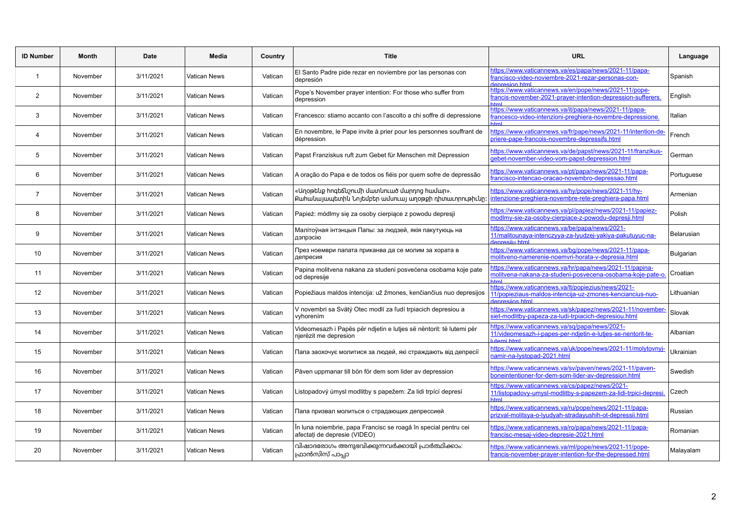| <b>ID Number</b> | Month    | Date      | Media               | Country | <b>Title</b>                                                                                           | <b>URL</b>                                                                                                                             | Language   |
|------------------|----------|-----------|---------------------|---------|--------------------------------------------------------------------------------------------------------|----------------------------------------------------------------------------------------------------------------------------------------|------------|
| $\mathbf{1}$     | November | 3/11/2021 | Vatican News        | Vatican | El Santo Padre pide rezar en noviembre por las personas con<br>depresión                               | https://www.vaticannews.va/es/papa/news/2021-11/papa-<br>francisco-video-noviembre-2021-rezar-personas-con-<br>denresion html          | Spanish    |
| $\overline{2}$   | November | 3/11/2021 | Vatican News        | Vatican | Pope's November prayer intention: For those who suffer from<br>depression                              | https://www.vaticannews.va/en/pope/news/2021-11/pope-<br>francis-november-2021-prayer-intention-depression-sufferers.                  | English    |
| 3                | November | 3/11/2021 | Vatican News        | Vatican | Francesco: stiamo accanto con l'ascolto a chi soffre di depressione                                    | https://www.vaticannews.va/it/papa/news/2021-11/papa-<br>rancesco-video-intenzioni-preghiera-novembre-depressione.                     | Italian    |
| 4                | November | 3/11/2021 | <b>Vatican News</b> | Vatican | En novembre, le Pape invite à prier pour les personnes souffrant de<br>dépression                      | https://www.vaticannews.va/fr/pape/news/2021-11/intention-de-<br>priere-pape-francois-novembre-depressifs.html                         | French     |
| 5                | November | 3/11/2021 | <b>Vatican News</b> | Vatican | Papst Franziskus ruft zum Gebet für Menschen mit Depression                                            | https://www.vaticannews.va/de/papst/news/2021-11/franzikus-<br>gebet-november-video-vom-papst-depression.html                          | German     |
| 6                | November | 3/11/2021 | <b>Vatican News</b> | Vatican | A oração do Papa e de todos os fiéis por quem sofre de depressão                                       | https://www.vaticannews.va/pt/papa/news/2021-11/papa-<br>francisco-intencao-oracao-novembro-depressao.html                             | Portuguese |
| $\overline{7}$   | November | 3/11/2021 | Vatican News        | Vatican | «Աղօթեևք hnգեճևշոււմի մատևուած մարդոց hամար».<br>Քահանայապետին Նոյեմբեր ամսուայ աղօթքի դիտաւորութիւնը։ | https://www.vaticannews.va/hy/pope/news/2021-11/hy-<br>intenzione-preghiera-novembre-rete-preghiera-papa.html                          | Armenian   |
| 8                | November | 3/11/2021 | Vatican News        | Vatican | Papież: módlmy się za osoby cierpiące z powodu depresji                                                | https://www.vaticannews.va/pl/papiez/news/2021-11/papiez-<br>modlmy-sie-za-osoby-cierpiace-z-powodu-depresji.html                      | Polish     |
| 9                | November | 3/11/2021 | Vatican News        | Vatican | Малітоўная інтэнцыя Папы: за людзей, якія пакутуюць на<br>дэпрэсію                                     | https://www.vaticannews.va/be/papa/news/2021-<br>11/malitounaya-intenczyya-za-lyudzej-yakiya-pakutuyuc-na-<br>Anraeiiu html            | Belarusian |
| 10               | November | 3/11/2021 | Vatican News        | Vatican | През ноември папата приканва да се молим за хората в<br>депресия                                       | https://www.vaticannews.va/bg/pope/news/2021-11/papa-<br>molitveno-namerenie-noemvri-horata-v-depresia.html                            | Bulgarian  |
| 11               | November | 3/11/2021 | <b>Vatican News</b> | Vatican | Papina molitvena nakana za studeni posvećena osobama koje pate<br>od depresije                         | https://www.vaticannews.va/hr/papa/news/2021-11/papina-<br>molitvena-nakana-za-studeni-posvecena-osobama-koje-pate-o.<br>html          | Croatian   |
| 12               | November | 3/11/2021 | Vatican News        | Vatican | Popiežiaus maldos intencija: už žmones, kenčiančius nuo depresijos                                     | https://www.vaticannews.va/lt/popiezius/news/2021-<br>11/popieziaus-maldos-intencija-uz-zmones-kenciancius-nuo-<br><b>Intrinsipale</b> | Lithuanian |
| 13               | November | 3/11/2021 | Vatican News        | Vatican | V novembri sa Svätý Otec modlí za ľudí trpiacich depresiou a<br>vyhorením                              | https://www.vaticannews.va/sk/papez/news/2021-11/november-<br>siet-modlitby-papeza-za-ludi-trpiacich-depresiou.html                    | Slovak     |
| 14               | November | 3/11/2021 | Vatican News        | Vatican | Videomesazh i Papës për ndjetin e lutjes së nëntorit: të lutemi për<br>njerëzit me depresion           | https://www.vaticannews.va/sq/papa/news/2021-<br>11/videomesazh-i-papes-per-ndjetin-e-lutjes-se-nentorit-te-<br>utemi html             | Albanian   |
| 15               | November | 3/11/2021 | Vatican News        | Vatican | Папа заохочує молитися за людей, які страждають від депресії                                           | https://www.vaticannews.va/uk/pope/news/2021-11/molytovnyj-<br>namir-na-lystopad-2021.html                                             | Ukrainian  |
| 16               | November | 3/11/2021 | <b>Vatican News</b> | Vatican | Påven uppmanar till bön för dem som lider av depression                                                | https://www.vaticannews.va/sv/paven/news/2021-11/paven-<br>boneintentioner-for-dem-som-lider-av-depression.html                        | Swedish    |
| 17               | November | 3/11/2021 | Vatican News        | Vatican | Listopadový úmysl modlitby s papežem: Za lidi trpící depresí                                           | https://www.vaticannews.va/cs/papez/news/2021-<br>11/listopadovy-umysl-modlitby-s-papezem-za-lidi-trpici-depresi                       | Czech      |
| 18               | November | 3/11/2021 | Vatican News        | Vatican | Папа призвал молиться о страдающих депрессией                                                          | https://www.vaticannews.va/ru/pope/news/2021-11/papa-<br>prizval-molitsya-o-lyudyah-stradayushih-ot-depressii.html                     | Russian    |
| 19               | November | 3/11/2021 | Vatican News        | Vatican | În luna noiembrie, papa Francisc se roagă în special pentru cei<br>afectati de depresie (VIDEO)        | https://www.vaticannews.va/ro/papa/news/2021-11/papa-<br>francisc-mesaj-video-depresie-2021.html                                       | Romanian   |
| 20               | November | 3/11/2021 | <b>Vatican News</b> | Vatican | വിഷാദരോഗം അനുഭവിക്കുന്നവർക്കായി പ്രാർത്ഥിക്കാം:<br>ഫ്രാൻസിസ് പാപ്പാ                                    | https://www.vaticannews.va/ml/pope/news/2021-11/pope-<br>francis-november-prayer-intention-for-the-depressed.html                      | Malayalam  |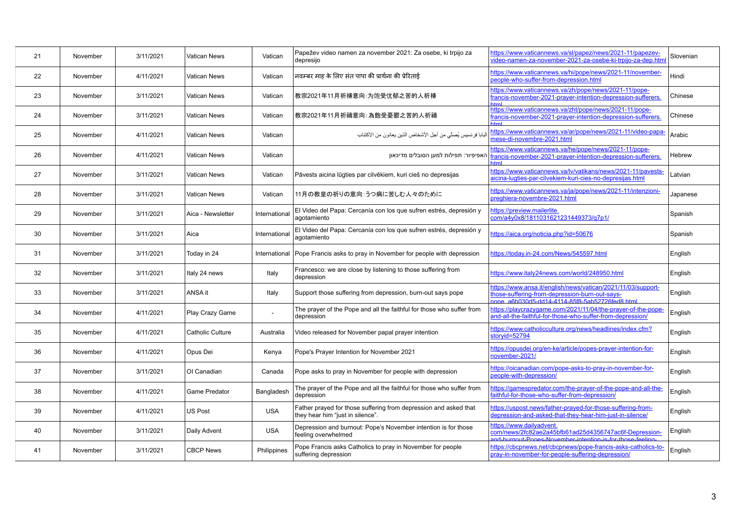| 21 | November | 3/11/2021 | Vatican News            | Vatican       | Papežev video namen za november 2021: Za osebe, ki trpijo za<br>depresijo                            | https://www.vaticannews.va/sl/papez/news/2021-11/papezev-<br>video-namen-za-november-2021-za-osebe-ki-trpijo-za-dep.htm                                         | Slovenian |
|----|----------|-----------|-------------------------|---------------|------------------------------------------------------------------------------------------------------|-----------------------------------------------------------------------------------------------------------------------------------------------------------------|-----------|
| 22 | November | 4/11/2021 | <b>Vatican News</b>     | Vatican       | नवम्बर माह के लिए संत पापा की प्रार्थना की प्रेरिताई                                                 | https://www.vaticannews.va/hi/pope/news/2021-11/november-<br>beople-who-suffer-from-depression.html                                                             | Hindi     |
| 23 | November | 3/11/2021 | Vatican News            | Vatican       | 教宗2021年11月祈祷意向:为饱受忧郁之苦的人祈祷                                                                           | https://www.vaticannews.va/zh/pope/news/2021-11/pope-<br>francis-november-2021-prayer-intention-depression-sufferers.<br><b>utml</b>                            | Chinese   |
| 24 | November | 3/11/2021 | Vatican News            | Vatican       | 教宗2021年11月祈禱意向:為飽受憂鬱之苦的人祈禱                                                                           | https://www.vaticannews.va/zht/pope/news/2021-11/pope-<br>francis-november-2021-prayer-intention-depression-sufferers.                                          | Chinese   |
| 25 | November | 4/11/2021 | Vatican News            | Vatican       | البابا فرنسيس يُصلِّي من أجل الأشخاص الذين يعانون من الاكتئاب                                        | https://www.vaticannews.va/ar/pope/news/2021-11/video-papa-<br>mese-di-novembre-2021.html                                                                       | Arabic    |
| 26 | November | 4/11/2021 | Vatican News            | Vatican       | האפיפיור: תפילות למען הסובלים מדיכאון                                                                | https://www.vaticannews.va/he/pope/news/2021-11/pope-<br>francis-november-2021-prayer-intention-depression-sufferers.<br><b>utml</b>                            | Hebrew    |
| 27 | November | 3/11/2021 | <b>Vatican News</b>     | Vatican       | Pāvests aicina lūgties par cilvēkiem, kuri cieš no depresijas                                        | https://www.vaticannews.va/lv/vatikans/news/2021-11/pavests-<br>aicina-lugties-par-cilvekiem-kuri-cies-no-depresijas.html                                       | Latvian   |
| 28 | November | 3/11/2021 | Vatican News            | Vatican       | 11月の教皇の祈りの意向:うつ病に苦しむ人々のために                                                                           | https://www.vaticannews.va/ja/pope/news/2021-11/intenzioni-<br>preghiera-novembre-2021.html                                                                     | Japanese  |
| 29 | November | 3/11/2021 | Aica - Newsletter       | International | El Video del Papa: Cercanía con los que sufren estrés, depresión y<br>agotamiento                    | https://preview.mailerlite.<br>com/a4y0x8/1811031621231449373/q7p1/                                                                                             | Spanish   |
| 30 | November | 3/11/2021 | Aica                    | International | El Video del Papa: Cercanía con los que sufren estrés, depresión y<br>agotamiento                    | https://aica.org/noticia.php?id=50676                                                                                                                           | Spanish   |
| 31 | November | 3/11/2021 | Today in 24             | International | Pope Francis asks to pray in November for people with depression                                     | https://today.in-24.com/News/545597.html                                                                                                                        | English   |
| 32 | November | 3/11/2021 | Italy 24 news           | Italy         | Francesco: we are close by listening to those suffering from<br>depression                           | https://www.italy24news.com/world/248950.html                                                                                                                   | English   |
| 33 | November | 3/11/2021 | ANSA it                 | Italy         | Support those suffering from depression, burn-out says pope                                          | https://www.ansa.it/english/news/vatican/2021/11/03/support-<br>those-suffering-from-depression-burn-out-says-<br>one a6b030d5-dd14-4114-85f8-5ab52726fed8.html | English   |
| 34 | November | 4/11/2021 | Play Crazy Game         | $\sim$        | The prayer of the Pope and all the faithful for those who suffer from<br>depression                  | https://playcrazygame.com/2021/11/04/the-prayer-of-the-pope-<br>and-all-the-faithful-for-those-who-suffer-from-depression/                                      | English   |
| 35 | November | 4/11/2021 | <b>Catholic Culture</b> | Australia     | Video released for November papal prayer intention                                                   | https://www.catholicculture.org/news/headlines/index.cfm?<br>storyid=52794                                                                                      | English   |
| 36 | November | 4/11/2021 | Opus Dei                | Kenya         | Pope's Prayer Intention for November 2021                                                            | https://opusdei.org/en-ke/article/popes-prayer-intention-for-<br>november-2021/                                                                                 | English   |
| 37 | November | 3/11/2021 | OI Canadian             | Canada        | Pope asks to pray in November for people with depression                                             | https://oicanadian.com/pope-asks-to-pray-in-november-for-<br>beople-with-depression/                                                                            | English   |
| 38 | November | 4/11/2021 | <b>Game Predator</b>    | Bangladesh    | The prayer of the Pope and all the faithful for those who suffer from<br>depression                  | https://gamespredator.com/the-prayer-of-the-pope-and-all-the-<br>aithful-for-those-who-suffer-from-depression/                                                  | English   |
| 39 | November | 4/11/2021 | <b>US Post</b>          | <b>USA</b>    | Father prayed for those suffering from depression and asked that<br>they hear him "just in silence". | https://uspost.news/father-prayed-for-those-suffering-from-<br>depression-and-asked-that-they-hear-him-just-in-silence/                                         | English   |
| 40 | November | 3/11/2021 | Daily Advent            | <b>USA</b>    | Depression and burnout: Pope's November intention is for those<br>feeling overwhelmed                | https://www.dailyadvent.<br>com/news/2fc82ae2a45bfb61ad25d4356747ac6f-Depression-<br>and-burnout-Pones-November-intention-is-for-those-feeling                  | English   |
| 41 | November | 3/11/2021 | <b>CBCP News</b>        | Philippines   | Pope Francis asks Catholics to pray in November for people<br>suffering depression                   | https://cbcpnews.net/cbcpnews/pope-francis-asks-catholics-to-<br>pray-in-november-for-people-suffering-depression/                                              | English   |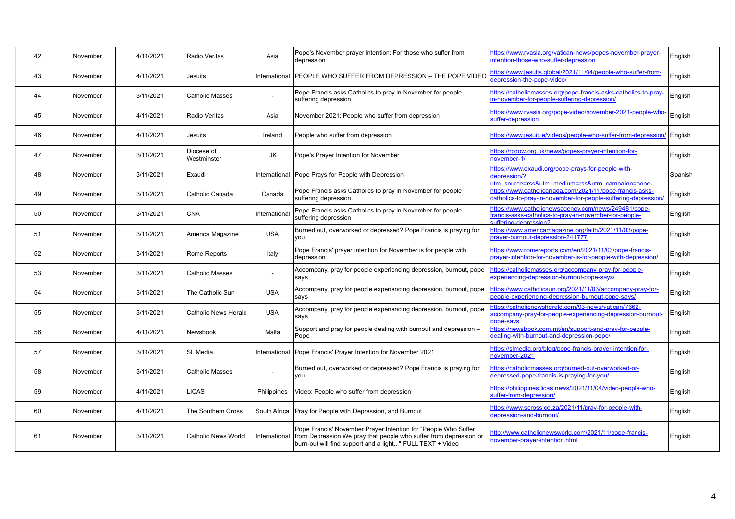| 42 | November | 4/11/2021 | <b>Radio Veritas</b>        | Asia          | Pope's November prayer intention: For those who suffer from<br>depression                                                                                                                        | https://www.rvasia.org/vatican-news/popes-november-prayer-<br>intention-those-who-suffer-depression                                   | English |
|----|----------|-----------|-----------------------------|---------------|--------------------------------------------------------------------------------------------------------------------------------------------------------------------------------------------------|---------------------------------------------------------------------------------------------------------------------------------------|---------|
| 43 | November | 4/11/2021 | Jesuits                     | International | PEOPLE WHO SUFFER FROM DEPRESSION - THE POPE VIDEO                                                                                                                                               | https://www.jesuits.global/2021/11/04/people-who-suffer-from-<br>depression-the-pope-video/                                           | English |
| 44 | November | 3/11/2021 | <b>Catholic Masses</b>      |               | Pope Francis asks Catholics to pray in November for people<br>suffering depression                                                                                                               | https://catholicmasses.org/pope-francis-asks-catholics-to-pray-<br>n-november-for-people-suffering-depression/                        | English |
| 45 | November | 4/11/2021 | <b>Radio Veritas</b>        | Asia          | November 2021: People who suffer from depression                                                                                                                                                 | https://www.rvasia.org/pope-video/november-2021-people-who-<br>suffer-depression                                                      | English |
| 46 | November | 4/11/2021 | Jesuits                     | Ireland       | People who suffer from depression                                                                                                                                                                | https://www.jesuit.je/videos/people-who-suffer-from-depression/ English                                                               |         |
| 47 | November | 3/11/2021 | Diocese of<br>Westminster   | <b>UK</b>     | Pope's Prayer Intention for November                                                                                                                                                             | https://rcdow.org.uk/news/popes-prayer-intention-for-<br>november-1/                                                                  | English |
| 48 | November | 3/11/2021 | Exaudi                      | International | Pope Prays for People with Depression                                                                                                                                                            | https://www.exaudi.org/pope-prays-for-people-with-<br>depression/?<br>utm_source=rss&utm_medium=rss&utm_campaign=pope-                | Spanish |
| 49 | November | 3/11/2021 | Catholic Canada             | Canada        | Pope Francis asks Catholics to pray in November for people<br>suffering depression                                                                                                               | https://www.catholicanada.com/2021/11/pope-francis-asks-<br>catholics-to-pray-in-november-for-people-suffering-depression/            | English |
| 50 | November | 3/11/2021 | <b>CNA</b>                  | International | Pope Francis asks Catholics to pray in November for people<br>suffering depression                                                                                                               | https://www.catholicnewsagency.com/news/249481/pope-<br>rancis-asks-catholics-to-pray-in-november-for-people-<br>Caniesement-natitive | English |
| 51 | November | 3/11/2021 | America Magazine            | <b>USA</b>    | Burned out, overworked or depressed? Pope Francis is praying for<br>you.                                                                                                                         | https://www.americamagazine.org/faith/2021/11/03/pope-<br>orayer-burnout-depression-241777                                            | English |
| 52 | November | 3/11/2021 | Rome Reports                | Italy         | Pope Francis' prayer intention for November is for people with<br>depression                                                                                                                     | https://www.romereports.com/en/2021/11/03/pope-francis-<br>prayer-intention-for-november-is-for-people-with-depression/               | English |
| 53 | November | 3/11/2021 | <b>Catholic Masses</b>      | $\omega$      | Accompany, pray for people experiencing depression, burnout, pope<br>says                                                                                                                        | https://catholicmasses.org/accompany-pray-for-people-<br>experiencing-depression-burnout-pope-says/                                   | English |
| 54 | November | 3/11/2021 | The Catholic Sun            | <b>USA</b>    | Accompany, pray for people experiencing depression, burnout, pope<br>says                                                                                                                        | https://www.catholicsun.org/2021/11/03/accompany-pray-for-<br>people-experiencing-depression-burnout-pope-says/                       | English |
| 55 | November | 3/11/2021 | <b>Catholic News Herald</b> | <b>USA</b>    | Accompany, pray for people experiencing depression, burnout, pope<br>says                                                                                                                        | https://catholicnewsherald.com/93-news/vatican/7662-<br>accompany-pray-for-people-experiencing-depression-burnout-<br>nne-save        | English |
| 56 | November | 4/11/2021 | Newsbook                    | Malta         | Support and pray for people dealing with burnout and depression -<br>Pope                                                                                                                        | https://newsbook.com.mt/en/support-and-pray-for-people-<br>dealing-with-burnout-and-depression-pope/                                  | English |
| 57 | November | 3/11/2021 | SL Media                    | International | Pope Francis' Prayer Intention for November 2021                                                                                                                                                 | https://slmedia.org/blog/pope-francis-prayer-intention-for-<br>november-2021                                                          | English |
| 58 | November | 3/11/2021 | <b>Catholic Masses</b>      |               | Burned out, overworked or depressed? Pope Francis is praying for<br>you.                                                                                                                         | https://catholicmasses.org/burned-out-overworked-or-<br>depressed-pope-francis-is-praying-for-you/                                    | English |
| 59 | November | 4/11/2021 | <b>LICAS</b>                | Philippines   | Video: People who suffer from depression                                                                                                                                                         | https://philippines.licas.news/2021/11/04/video-people-who-<br>suffer-from-depression/                                                | English |
| 60 | November | 4/11/2021 | The Southern Cross          | South Africa  | Pray for People with Depression, and Burnout                                                                                                                                                     | https://www.scross.co.za/2021/11/pray-for-people-with-<br>depression-and-burnout/                                                     | English |
| 61 | November | 3/11/2021 | <b>Catholic News World</b>  | International | Pope Francis' November Prayer Intention for "People Who Suffer<br>from Depression We pray that people who suffer from depression or<br>burn-out will find support and a light" FULL TEXT + Video | http://www.catholicnewsworld.com/2021/11/pope-francis-<br>november-praver-intention.html                                              | English |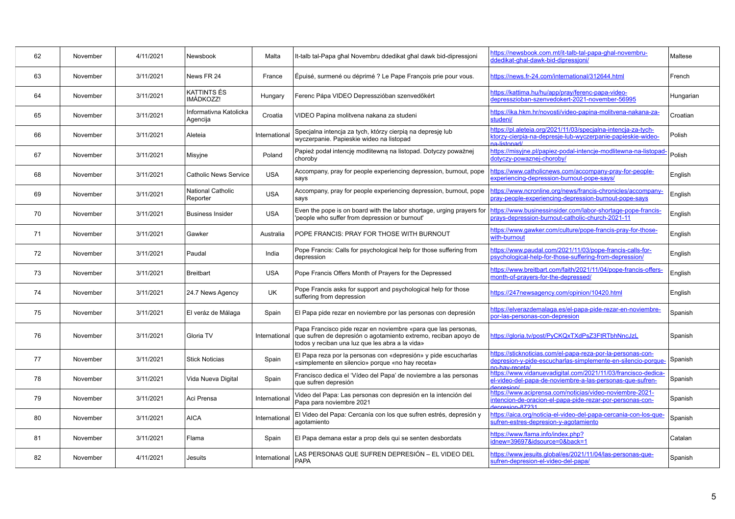| 62 | November | 4/11/2021 | Newsbook                           | Malta         | It-talb tal-Papa ghal Novembru ddedikat ghal dawk bid-dipressjoni                                                                                                                    | https://newsbook.com.mt/it-talb-tal-papa-ghal-novembru-<br>ddedikat-ghal-dawk-bid-dipressioni/                                                         | Maltese   |
|----|----------|-----------|------------------------------------|---------------|--------------------------------------------------------------------------------------------------------------------------------------------------------------------------------------|--------------------------------------------------------------------------------------------------------------------------------------------------------|-----------|
| 63 | November | 3/11/2021 | News FR 24                         | France        | Épuisé, surmené ou déprimé ? Le Pape François prie pour vous.                                                                                                                        | https://news.fr-24.com/international/312644.html                                                                                                       | French    |
| 64 | November | 3/11/2021 | KATTINTS ÉS<br>IMÁDKOZZ!           | Hungary       | Ferenc Pápa VIDEO Depresszióban szenvedőkért                                                                                                                                         | https://kattima.hu/hu/app/pray/ferenc-papa-video-<br>depresszioban-szenvedokert-2021-november-56995                                                    | Hungarian |
| 65 | November | 3/11/2021 | Informativna Katolicka<br>Agencija | Croatia       | VIDEO Papina molitvena nakana za studeni                                                                                                                                             | https://ika.hkm.hr/novosti/video-papina-molitvena-nakana-za-<br>studeni/                                                                               | Croatian  |
| 66 | November | 3/11/2021 | Aleteia                            | International | Specjalna intencja za tych, którzy cierpią na depresję lub<br>wyczerpanie. Papieskie wideo na listopad                                                                               | https://pl.aleteia.org/2021/11/03/specjalna-intencja-za-tych-<br>ktorzy-cierpia-na-depresje-lub-wyczerpanie-papieskie-wideo-<br>a <sub>-listonad</sub> | Polish    |
| 67 | November | 3/11/2021 | Misyjne                            | Poland        | Papież podał intencję modlitewną na listopad. Dotyczy poważnej<br>choroby                                                                                                            | https://misyjne.pl/papiez-podal-intencje-modlitewna-na-listopad<br>dotyczy-powaznej-choroby/                                                           | Polish    |
| 68 | November | 3/11/2021 | <b>Catholic News Service</b>       | <b>USA</b>    | Accompany, pray for people experiencing depression, burnout, pope<br>says                                                                                                            | https://www.catholicnews.com/accompany-pray-for-people-<br>experiencing-depression-burnout-pope-says/                                                  | English   |
| 69 | November | 3/11/2021 | National Catholic<br>Reporter      | <b>USA</b>    | Accompany, pray for people experiencing depression, burnout, pope<br>says                                                                                                            | https://www.ncronline.org/news/francis-chronicles/accompany-<br>pray-people-experiencing-depression-burnout-pope-says                                  | English   |
| 70 | November | 3/11/2021 | <b>Business Insider</b>            | <b>USA</b>    | Even the pope is on board with the labor shortage, urging prayers for<br>'people who suffer from depression or burnout'                                                              | https://www.businessinsider.com/labor-shortage-pope-francis-<br>prays-depression-burnout-catholic-church-2021-11                                       | English   |
| 71 | November | 3/11/2021 | Gawker                             | Australia     | POPE FRANCIS: PRAY FOR THOSE WITH BURNOUT                                                                                                                                            | https://www.gawker.com/culture/pope-francis-pray-for-those-<br>with-burnout                                                                            | English   |
| 72 | November | 3/11/2021 | Paudal                             | India         | Pope Francis: Calls for psychological help for those suffering from<br>depression                                                                                                    | https://www.paudal.com/2021/11/03/pope-francis-calls-for-<br>psychological-help-for-those-suffering-from-depression/                                   | English   |
| 73 | November | 3/11/2021 | <b>Breitbart</b>                   | <b>USA</b>    | Pope Francis Offers Month of Prayers for the Depressed                                                                                                                               | https://www.breitbart.com/faith/2021/11/04/pope-francis-offers-<br>month-of-prayers-for-the-depressed/                                                 | English   |
| 74 | November | 3/11/2021 | 24.7 News Agency                   | UK            | Pope Francis asks for support and psychological help for those<br>suffering from depression                                                                                          | https://247newsagency.com/opinion/10420.html                                                                                                           | English   |
| 75 | November | 3/11/2021 | El veráz de Málaga                 | Spain         | El Papa pide rezar en noviembre por las personas con depresión                                                                                                                       | https://elverazdemalaga.es/el-papa-pide-rezar-en-noviembre-<br>por-las-personas-con-depresion                                                          | Spanish   |
| 76 | November | 3/11/2021 | Gloria TV                          | International | Papa Francisco pide rezar en noviembre «para que las personas,<br>que sufren de depresión o agotamiento extremo, reciban apoyo de<br>todos y reciban una luz que les abra a la vida» | https://qloria.tv/post/PyCKQxTXdPsZ3FtRTbhNncJzL                                                                                                       | Spanish   |
| 77 | November | 3/11/2021 | <b>Stick Noticias</b>              | Spain         | El Papa reza por la personas con «depresión» y pide escucharlas<br>«simplemente en silencio» porque «no hay receta»                                                                  | https://sticknoticias.com/el-papa-reza-por-la-personas-con-<br>depresion-y-pide-escucharlas-simplemente-en-silencio-porque<br><b>In-hav-recetal</b>    | Spanish   |
| 78 | November | 3/11/2021 | Vida Nueva Digital                 | Spain         | Francisco dedica el 'Vídeo del Papa' de noviembre a las personas<br>que sufren depresión                                                                                             | https://www.vidanuevadigital.com/2021/11/03/francisco-dedica-<br>el-video-del-papa-de-noviembre-a-las-personas-que-sufren-<br>$l$ enresion             | Spanish   |
| 79 | November | 3/11/2021 | Aci Prensa                         | International | Video del Papa: Las personas con depresión en la intención del<br>Papa para noviembre 2021                                                                                           | https://www.aciprensa.com/noticias/video-noviembre-2021-<br>intencion-de-oracion-el-papa-pide-rezar-por-personas-con-<br>denresion-87231               | Spanish   |
| 80 | November | 3/11/2021 | <b>AICA</b>                        | International | El Video del Papa: Cercanía con los que sufren estrés, depresión y<br>agotamiento                                                                                                    | https://aica.org/noticia-el-video-del-papa-cercania-con-los-que-<br>sufren-estres-depresion-y-agotamiento                                              | Spanish   |
| 81 | November | 3/11/2021 | Flama                              | Spain         | El Papa demana estar a prop dels qui se senten desbordats                                                                                                                            | https://www.flama.info/index.php?<br>idnew=39697&idsource=0&back=1                                                                                     | Catalan   |
| 82 | November | 4/11/2021 | Jesuits                            | International | LAS PERSONAS QUE SUFREN DEPRESIÓN – EL VIDEO DEL<br><b>PAPA</b>                                                                                                                      | https://www.jesuits.global/es/2021/11/04/las-personas-que-<br>sufren-depresion-el-video-del-papa/                                                      | Spanish   |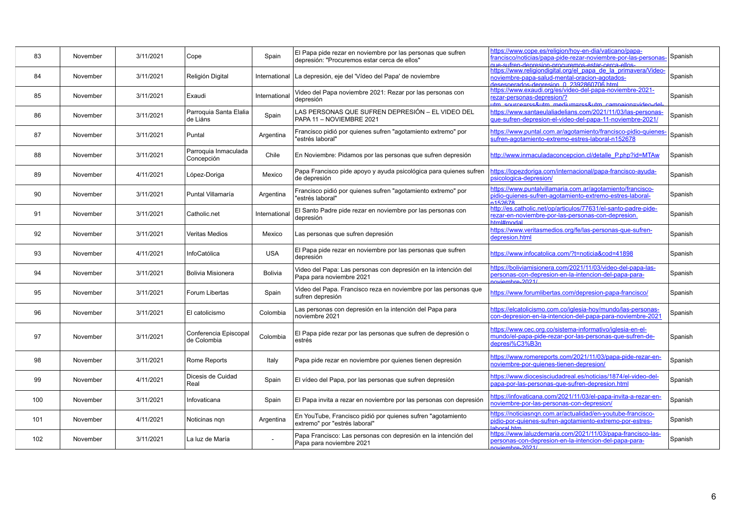| 83  | November | 3/11/2021 | Cope                                 | Spain          | El Papa pide rezar en noviembre por las personas que sufren<br>depresión: "Procuremos estar cerca de ellos" | https://www.cope.es/religion/hoy-en-dia/vaticano/papa-<br>rancisco/noticias/papa-pide-rezar-noviembre-por-las-personas-<br>u e-sufren-denresion-procuremos-estar-cerca-ellos | Spanish |
|-----|----------|-----------|--------------------------------------|----------------|-------------------------------------------------------------------------------------------------------------|------------------------------------------------------------------------------------------------------------------------------------------------------------------------------|---------|
| 84  | November | 3/11/2021 | Religión Digital                     | International  | La depresión, eje del 'Vídeo del Papa' de noviembre                                                         | https://www.religiondigital.org/el papa de la primavera/Video-<br>noviembre-papa-salud-mental-oracion-agotados-<br>lesesperados-depresion 0 2392860706 html                  | Spanish |
| 85  | November | 3/11/2021 | Exaudi                               | International  | Video del Papa noviembre 2021: Rezar por las personas con<br>depresión                                      | https://www.exaudi.org/es/video-del-papa-noviembre-2021-<br>rezar-personas-depresion/?<br>itm source=rss&utm medium=rss&utm campaign=video-del-                              | Spanish |
| 86  | November | 3/11/2021 | Parroquia Santa Elalia<br>de Liáns   | Spain          | LAS PERSONAS QUE SUFREN DEPRESIÓN - EL VIDEO DEL<br>PAPA 11 - NOVIEMBRE 2021                                | https://www.santaeulaliadelians.com/2021/11/03/las-personas-<br>que-sufren-depresion-el-video-del-papa-11-noviembre-2021/                                                    | Spanish |
| 87  | November | 3/11/2021 | Puntal                               | Argentina      | Francisco pidió por quienes sufren "agotamiento extremo" por<br>'estrés laboral"                            | https://www.puntal.com.ar/agotamiento/francisco-pidio-quienes<br>sufren-agotamiento-extremo-estres-laboral-n152678                                                           | Spanish |
| 88  | November | 3/11/2021 | Parroquia Inmaculada<br>Concepción   | Chile          | En Noviembre: Pidamos por las personas que sufren depresión                                                 | http://www.inmaculadaconcepcion.cl/detalle P.php?id=MTAw                                                                                                                     | Spanish |
| 89  | November | 4/11/2021 | López-Doriga                         | Mexico         | Papa Francisco pide apoyo y ayuda psicológica para quienes sufren<br>de depresión                           | https://lopezdoriga.com/internacional/papa-francisco-ayuda-<br>osicologica-depresion/                                                                                        | Spanish |
| 90  | November | 3/11/2021 | Puntal Villamaría                    | Argentina      | Francisco pidió por quienes sufren "agotamiento extremo" por<br>'estrés laboral"                            | https://www.puntalvillamaria.com.ar/agotamiento/francisco-<br>pidio-quienes-sufren-agotamiento-extremo-estres-laboral-<br>152678                                             | Spanish |
| 91  | November | 3/11/2021 | Catholic.net                         | International  | El Santo Padre pide rezar en noviembre por las personas con<br>depresión                                    | http://es.catholic.net/op/articulos/77631/el-santo-padre-pide-<br>rezar-en-noviembre-por-las-personas-con-depresion.<br><b>Inhom#Imtr</b>                                    | Spanish |
| 92  | November | 3/11/2021 | <b>Veritas Medios</b>                | Mexico         | Las personas que sufren depresión                                                                           | https://www.veritasmedios.org/fe/las-personas-que-sufren-<br>depresion.html                                                                                                  | Spanish |
| 93  | November | 4/11/2021 | InfoCatólica                         | <b>USA</b>     | El Papa pide rezar en noviembre por las personas que sufren<br>depresión                                    | https://www.infocatolica.com/?t=noticia&cod=41898                                                                                                                            | Spanish |
| 94  | November | 3/11/2021 | Bolivia Misionera                    | <b>Bolivia</b> | Video del Papa: Las personas con depresión en la intención del<br>Papa para noviembre 2021                  | https://boliviamisionera.com/2021/11/03/video-del-papa-las-<br>personas-con-depresion-en-la-intencion-del-papa-para-<br>noviembre-2021/                                      | Spanish |
| 95  | November | 3/11/2021 | Forum Libertas                       | Spain          | Video del Papa. Francisco reza en noviembre por las personas que<br>sufren depresión                        | https://www.forumlibertas.com/depresion-papa-francisco/                                                                                                                      | Spanish |
| 96  | November | 3/11/2021 | El catolicismo                       | Colombia       | Las personas con depresión en la intención del Papa para<br>noviembre 2021                                  | https://elcatolicismo.com.co/iglesia-hoy/mundo/las-personas-<br>con-depresion-en-la-intencion-del-papa-para-noviembre-2021                                                   | Spanish |
| 97  | November | 3/11/2021 | Conferencia Episcopal<br>de Colombia | Colombia       | El Papa pide rezar por las personas que sufren de depresión o<br>estrés                                     | https://www.cec.org.co/sistema-informativo/iglesia-en-el-<br>mundo/el-papa-pide-rezar-por-las-personas-que-sufren-de-<br>depresi%C3%B3n                                      | Spanish |
| 98  | November | 3/11/2021 | Rome Reports                         | Italy          | Papa pide rezar en noviembre por quienes tienen depresión                                                   | https://www.romereports.com/2021/11/03/papa-pide-rezar-en-<br>noviembre-por-quienes-tienen-depresion/                                                                        | Spanish |
| 99  | November | 4/11/2021 | Dicesis de Cuidad<br>Real            | Spain          | El vídeo del Papa, por las personas que sufren depresión                                                    | https://www.diocesisciudadreal.es/noticias/1874/el-video-del-<br>papa-por-las-personas-que-sufren-depresion.html                                                             | Spanish |
| 100 | November | 3/11/2021 | Infovaticana                         | Spain          | El Papa invita a rezar en noviembre por las personas con depresión                                          | https://infovaticana.com/2021/11/03/el-papa-invita-a-rezar-en-<br>noviembre-por-las-personas-con-depresion/                                                                  | Spanish |
| 101 | November | 4/11/2021 | Noticinas ngn                        | Argentina      | En YouTube, Francisco pidió por quienes sufren "agotamiento"<br>extremo" por "estrés laboral"               | https://noticiasnqn.com.ar/actualidad/en-youtube-francisco-<br>pidio-por-quienes-sufren-agotamiento-extremo-por-estres-<br>ahoral htm                                        | Spanish |
| 102 | November | 3/11/2021 | La luz de María                      | $\sim$         | Papa Francisco: Las personas con depresión en la intención del<br>Papa para noviembre 2021                  | https://www.laluzdemaria.com/2021/11/03/papa-francisco-las-<br>personas-con-depresion-en-la-intencion-del-papa-para-<br>$n$ wiembre-2021/                                    | Spanish |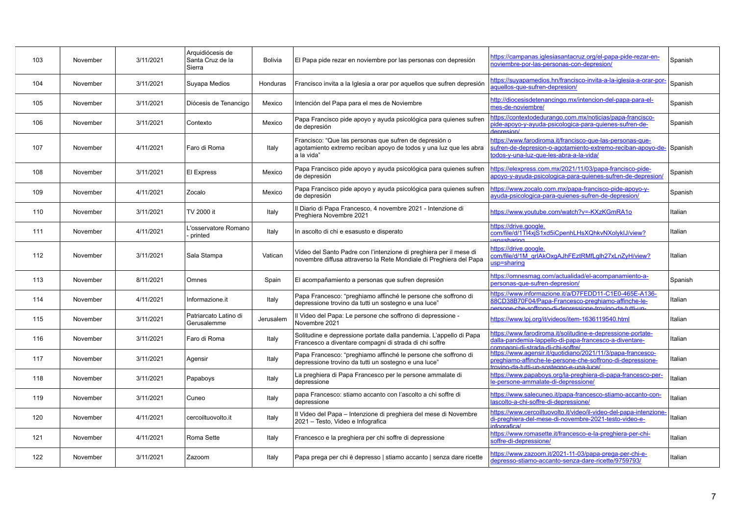| 103 | November | 3/11/2021 | Arquidiócesis de<br>Santa Cruz de la<br>Sierra | <b>Bolivia</b> | El Papa pide rezar en noviembre por las personas con depresión                                                                            | https://campanas.iglesiasantacruz.org/el-papa-pide-rezar-en-<br>noviembre-por-las-personas-con-depresion/                                                                | Spanish |
|-----|----------|-----------|------------------------------------------------|----------------|-------------------------------------------------------------------------------------------------------------------------------------------|--------------------------------------------------------------------------------------------------------------------------------------------------------------------------|---------|
| 104 | November | 3/11/2021 | Suyapa Medios                                  | Honduras       | Francisco invita a la Iglesia a orar por aquellos que sufren depresión                                                                    | https://suyapamedios.hn/francisco-invita-a-la-iglesia-a-orar-por-<br>aquellos-que-sufren-depresion/                                                                      | Spanish |
| 105 | November | 3/11/2021 | Diócesis de Tenancigo                          | Mexico         | Intención del Papa para el mes de Noviembre                                                                                               | http://diocesisdetenancingo.mx/intencion-del-papa-para-el-<br>mes-de-noviembre/                                                                                          | Spanish |
| 106 | November | 3/11/2021 | Contexto                                       | Mexico         | Papa Francisco pide apoyo y ayuda psicológica para quienes sufren<br>de depresión                                                         | https://contextodedurango.com.mx/noticias/papa-francisco-<br>pide-apoyo-y-ayuda-psicologica-para-quienes-sufren-de-<br>Janresion/                                        | Spanish |
| 107 | November | 4/11/2021 | Faro di Roma                                   | Italy          | Francisco: "Que las personas que sufren de depresión o<br>agotamiento extremo reciban apoyo de todos y una luz que les abra<br>a la vida" | https://www.farodiroma.it/francisco-que-las-personas-que-<br>sufren-de-depresion-o-agotamiento-extremo-reciban-apoyo-de-<br>lodos-v-una-luz-que-les-abra-a-la-vida/      | Spanish |
| 108 | November | 3/11/2021 | El Express                                     | Mexico         | Papa Francisco pide apoyo y ayuda psicológica para quienes sufren<br>de depresión                                                         | https://elexpress.com.mx/2021/11/03/papa-francisco-pide-<br>apoyo-y-ayuda-psicologica-para-quienes-sufren-de-depresion/                                                  | Spanish |
| 109 | November | 4/11/2021 | Zocalo                                         | Mexico         | Papa Francisco pide apoyo y ayuda psicológica para quienes sufren<br>de depresión                                                         | https://www.zocalo.com.mx/papa-francisco-pide-apoyo-y-<br>ayuda-psicologica-para-quienes-sufren-de-depresion/                                                            | Spanish |
| 110 | November | 3/11/2021 | TV 2000 it                                     | Italy          | Il Diario di Papa Francesco, 4 novembre 2021 - Intenzione di<br>Preghiera Novembre 2021                                                   | https://www.youtube.com/watch?v=-KXzKGmRA1o                                                                                                                              | Italian |
| 111 | November | 4/11/2021 | 'osservatore Romano<br>printed                 | Italy          | In ascolto di chi e esasusto e disperato                                                                                                  | https://drive.google.<br>com/file/d/1Tl4xjS1xd5iCpenhLHsXQhkvNXolykIJ/view?<br><u>ien=eharing</u>                                                                        | Italian |
| 112 | November | 3/11/2021 | Sala Stampa                                    | Vatican        | Video del Santo Padre con l'intenzione di preghiera per il mese di<br>novembre diffusa attraverso la Rete Mondiale di Preghiera del Papa  | https://drive.google.<br>com/file/d/1M_grIAkOxgAJhFEztRMfLglh27xLnZyH/view?<br>usp=sharing                                                                               | Italian |
| 113 | November | 8/11/2021 | Omnes                                          | Spain          | El acompañamiento a personas que sufren depresión                                                                                         | https://omnesmag.com/actualidad/el-acompanamiento-a-<br>personas-que-sufren-depresion/                                                                                   | Spanish |
| 114 | November | 4/11/2021 | Informazione.it                                | Italy          | Papa Francesco: "preghiamo affinché le persone che soffrono di<br>depressione trovino da tutti un sostegno e una luce"                    | https://www.informazione.it/a/D7FEDD11-C1E0-465E-A136-<br>88CD38B70F04/Papa-Francesco-preghiamo-affinche-le-<br>persone-che-soffrono-di-depressione-trovino-da-tutti-un- | Italian |
| 115 | November | 3/11/2021 | Patriarcato Latino di<br>Gerusalemme           | Jerusalem      | Il Video del Papa: Le persone che soffrono di depressione -<br>Novembre 2021                                                              | https://www.lpj.org/it/videos/item-1636119540.html                                                                                                                       | Italian |
| 116 | November | 3/11/2021 | Faro di Roma                                   | Italy          | Solitudine e depressione portate dalla pandemia. L'appello di Papa<br>Francesco a diventare compagni di strada di chi soffre              | https://www.farodiroma.it/solitudine-e-depressione-portate-<br>dalla-pandemia-lappello-di-papa-francesco-a-diventare-<br>nomnagni-di-strada-di-chi-soffre/               | Italian |
| 117 | November | 3/11/2021 | Agensir                                        | Italy          | Papa Francesco: "preghiamo affinché le persone che soffrono di<br>depressione trovino da tutti un sostegno e una luce"                    | https://www.agensir.it/quotidiano/2021/11/3/papa-francesco-<br>preghiamo-affinche-le-persone-che-soffrono-di-depressione-<br>myinn-da-tutti-un-sostegno-e-una-luce/      | Italian |
| 118 | November | 3/11/2021 | Papaboys                                       | Italy          | La preghiera di Papa Francesco per le persone ammalate di<br>depressione                                                                  | https://www.papaboys.org/la-preghiera-di-papa-francesco-per-<br>le-persone-ammalate-di-depressione/                                                                      | Italian |
| 119 | November | 3/11/2021 | Cuneo                                          | Italy          | papa Francesco: stiamo accanto con l'ascolto a chi soffre di<br>depressione                                                               | https://www.salecuneo.it/papa-francesco-stiamo-accanto-con-<br>lascolto-a-chi-soffre-di-depressione/                                                                     | Italian |
| 120 | November | 4/11/2021 | cercoiltuovolto.it                             | Italy          | Il Video del Papa – Intenzione di preghiera del mese di Novembre<br>2021 - Testo, Video e Infografica                                     | https://www.cercoiltuovolto.it/video/il-video-del-papa-intenzione<br>di-preghiera-del-mese-di-novembre-2021-testo-video-e-<br>nfografica/                                | Italian |
| 121 | November | 4/11/2021 | Roma Sette                                     | Italy          | Francesco e la preghiera per chi soffre di depressione                                                                                    | https://www.romasette.it/francesco-e-la-preghiera-per-chi-<br>soffre-di-depressione/                                                                                     | Italian |
| 122 | November | 3/11/2021 | Zazoom                                         | Italy          | Papa prega per chi è depresso   stiamo accanto   senza dare ricette                                                                       | https://www.zazoom.it/2021-11-03/papa-prega-per-chi-e-<br>depresso-stiamo-accanto-senza-dare-ricette/9759793/                                                            | Italian |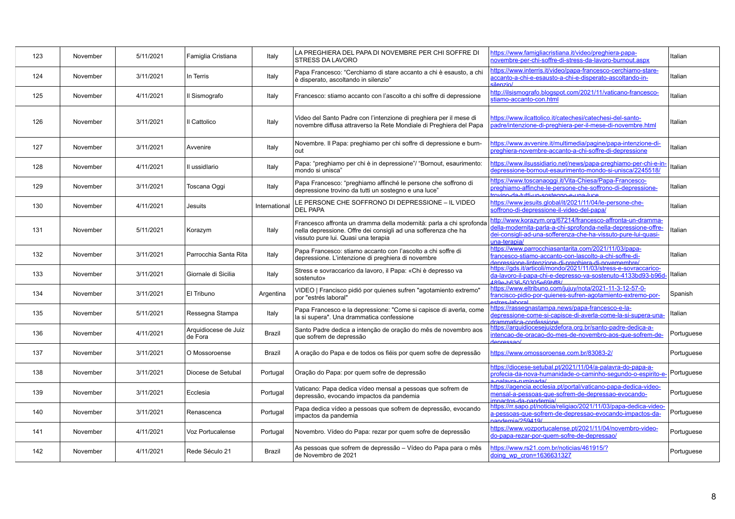| 123 | November | 5/11/2021 | Famiglia Cristiana              | Italy         | LA PREGHIERA DEL PAPA DI NOVEMBRE PER CHI SOFFRE DI<br><b>STRESS DA LAVORO</b>                                                                                               | https://www.famigliacristiana.it/video/preghiera-papa-<br>novembre-per-chi-soffre-di-stress-da-lavoro-burnout.aspx                                                                                            | Italian    |
|-----|----------|-----------|---------------------------------|---------------|------------------------------------------------------------------------------------------------------------------------------------------------------------------------------|---------------------------------------------------------------------------------------------------------------------------------------------------------------------------------------------------------------|------------|
| 124 | November | 3/11/2021 | In Terris                       | Italy         | Papa Francesco: "Cerchiamo di stare accanto a chi è esausto, a chi<br>è disperato, ascoltando in silenzio"                                                                   | https://www.interris.it/video/papa-francesco-cerchiamo-stare-<br>accanto-a-chi-e-esausto-a-chi-e-disperato-ascoltando-in-<br>/oisnalis                                                                        | Italian    |
| 125 | November | 4/11/2021 | Il Sismografo                   | Italy         | Francesco: stiamo accanto con l'ascolto a chi soffre di depressione                                                                                                          | http://ilsismografo.blogspot.com/2021/11/vaticano-francesco-<br>stiamo-accanto-con.html                                                                                                                       | Italian    |
| 126 | November | 3/11/2021 | Il Cattolico                    | Italy         | Video del Santo Padre con l'intenzione di preghiera per il mese di<br>novembre diffusa attraverso la Rete Mondiale di Preghiera del Papa                                     | https://www.ilcattolico.it/catechesi/catechesi-del-santo-<br>badre/intenzione-di-preghiera-per-il-mese-di-novembre.html                                                                                       | Italian    |
| 127 | November | 3/11/2021 | Avvenire                        | Italy         | Novembre. Il Papa: preghiamo per chi soffre di depressione e burn-<br>out                                                                                                    | https://www.avvenire.it/multimedia/pagine/papa-intenzione-di-<br>preghiera-novembre-accanto-a-chi-soffre-di-depressione                                                                                       | Italian    |
| 128 | November | 4/11/2021 | Il ussidlario                   | Italy         | Papa: "preghiamo per chi è in depressione"/ "Bornout, esaurimento:<br>mondo si unisca"                                                                                       | https://www.ilsussidiario.net/news/papa-preghiamo-per-chi-e-in-<br>depressione-bornout-esaurimento-mondo-si-unisca/2245518/                                                                                   | Italian    |
| 129 | November | 3/11/2021 | Toscana Oggi                    | Italy         | Papa Francesco: "preghiamo affinché le persone che soffrono di<br>depressione trovino da tutti un sostegno e una luce"                                                       | https://www.toscanaoqqi.it/Vita-Chiesa/Papa-Francesco-<br>preghiamo-affinche-le-persone-che-soffrono-di-depressione-<br>muinn-da-futti-un-sostenno-e-una-luce                                                 | Italian    |
| 130 | November | 4/11/2021 | Jesuits                         | International | LE PERSONE CHE SOFFRONO DI DEPRESSIONE – IL VIDEO<br><b>DEL PAPA</b>                                                                                                         | https://www.jesuits.global/it/2021/11/04/le-persone-che-<br>soffrono-di-depressione-il-video-del-papa/                                                                                                        | Italian    |
| 131 | November | 5/11/2021 | Korazym                         | Italy         | Francesco affronta un dramma della modernità: parla a chi sprofonda<br>nella depressione. Offre dei consigli ad una sofferenza che ha<br>vissuto pure lui. Quasi una terapia | http://www.korazym.org/67214/francesco-affronta-un-dramma-<br>della-modernita-parla-a-chi-sprofonda-nella-depressione-offre-<br>dei-consigli-ad-una-sofferenza-che-ha-vissuto-pure-lui-guasi-<br>una-terapia/ | Italian    |
| 132 | November | 3/11/2021 | Parrocchia Santa Rita           | Italy         | Papa Francesco: stiamo accanto con l'ascolto a chi soffre di<br>depressione. L'intenzione di preghiera di novembre                                                           | https://www.parrocchiasantarita.com/2021/11/03/papa-<br>francesco-stiamo-accanto-con-lascolto-a-chi-soffre-di-<br>denressione-lintenzione-di-pregbiera-di-novemembre/                                         | Italian    |
| 133 | November | 3/11/2021 | Giornale di Sicilia             | Italy         | Stress e sovraccarico da lavoro, il Papa: «Chi è depresso va<br>sostenuto»                                                                                                   | https://gds.it/articoli/mondo/2021/11/03/stress-e-sovraccarico-<br>da-lavoro-il-papa-chi-e-depresso-va-sostenuto-4133bd93-b96d<br>489e-b636-50305e69bff8/                                                     | Italian    |
| 134 | November | 3/11/2021 | El Tribuno                      | Argentina     | VIDEO   Francisco pidió por quienes sufren "agotamiento extremo"<br>por "estrés laboral"                                                                                     | https://www.eltribuno.com/jujuy/nota/2021-11-3-12-57-0-<br>francisco-pidio-por-quienes-sufren-agotamiento-extremo-por-<br>stres-lahoral                                                                       | Spanish    |
| 135 | November | 5/11/2021 | Ressegna Stampa                 | Italy         | Papa Francesco e la depressione: "Come si capisce di averla, come<br>la si supera". Una drammatica confessione                                                               | https://rassegnastampa.news/papa-francesco-e-la-<br>depressione-come-si-capisce-di-averla-come-la-si-supera-una-<br>trammatica-confessione                                                                    | Italian    |
| 136 | November | 4/11/2021 | Arquidiocese de Juiz<br>de Fora | <b>Brazil</b> | Santo Padre dedica a intenção de oração do mês de novembro aos<br>que sofrem de depressão                                                                                    | https://arquidiocesejuizdefora.org.br/santo-padre-dedica-a-<br>intencao-de-oracao-do-mes-de-novembro-aos-que-sofrem-de-<br>Josepangh                                                                          | Portuguese |
| 137 | November | 3/11/2021 | O Mossoroense                   | Brazil        | A oração do Papa e de todos os fiéis por quem sofre de depressão                                                                                                             | https://www.omossoroense.com.br/83083-2/                                                                                                                                                                      | Portuguese |
| 138 | November | 3/11/2021 | Diocese de Setubal              | Portugal      | Oração do Papa: por quem sofre de depressão                                                                                                                                  | https://diocese-setubal.pt/2021/11/04/a-palavra-do-papa-a-<br>profecia-da-nova-humanidade-o-caminho-segundo-o-espirito-e-<br>/eherimin-enveler-                                                               | Portuguese |
| 139 | November | 3/11/2021 | Ecclesia                        | Portugal      | Vaticano: Papa dedica vídeo mensal a pessoas que sofrem de<br>depressão, evocando impactos da pandemia                                                                       | https://agencia.ecclesia.pt/portal/vaticano-papa-dedica-video-<br>mensal-a-pessoas-que-sofrem-de-depressao-evocando-<br>mnactos-da-nandemia/                                                                  | Portuguese |
| 140 | November | 3/11/2021 | Renascenca                      | Portugal      | Papa dedica vídeo a pessoas que sofrem de depressão, evocando<br>impactos da pandemia                                                                                        | https://rr.sapo.pt/noticia/religiao/2021/11/03/papa-dedica-video-<br>a-pessoas-que-sofrem-de-depressao-evocando-impactos-da-<br>$and 2 2 6 4 1$                                                               | Portuguese |
| 141 | November | 4/11/2021 | Voz Portucalense                | Portugal      | Novembro. Vídeo do Papa: rezar por quem sofre de depressão                                                                                                                   | https://www.vozportucalense.pt/2021/11/04/novembro-video-<br>do-papa-rezar-por-quem-sofre-de-depressao/                                                                                                       | Portuguese |
| 142 | November | 4/11/2021 | Rede Século 21                  | <b>Brazil</b> | As pessoas que sofrem de depressão - Vídeo do Papa para o mês<br>de Novembro de 2021                                                                                         | https://www.rs21.com.br/noticias/461915/?<br>doing wp cron=1636631327                                                                                                                                         | Portuguese |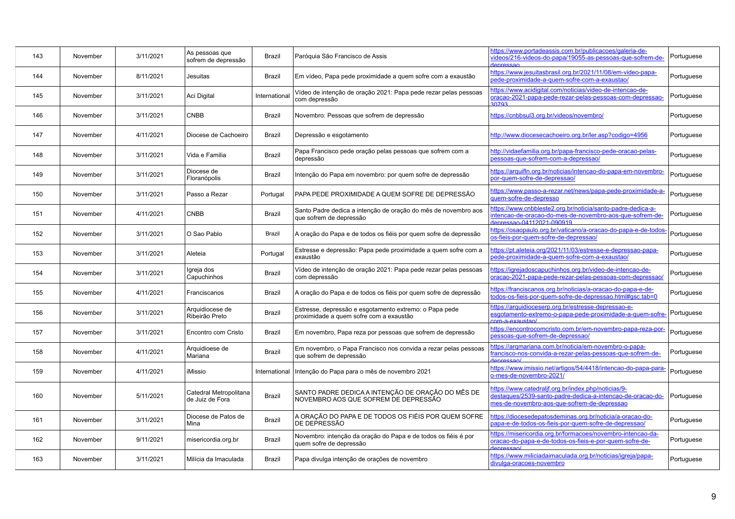| 143 | November | 3/11/2021 | As pessoas que<br>sofrem de depressão     | Brazil        | Paróquia São Francisco de Assis                                                                   | https://www.portadeassis.com.br/publicacoes/galeria-de-<br>videos/216-videos-do-papa/19055-as-pessoas-que-sofrem-de-                                             | Portuguese |
|-----|----------|-----------|-------------------------------------------|---------------|---------------------------------------------------------------------------------------------------|------------------------------------------------------------------------------------------------------------------------------------------------------------------|------------|
| 144 | November | 8/11/2021 | Jesuitas                                  | Brazil        | Em vídeo, Papa pede proximidade a quem sofre com a exaustão                                       | https://www.jesuitasbrasil.org.br/2021/11/08/em-video-papa-<br>pede-proximidade-a-quem-sofre-com-a-exaustao/                                                     | Portuguese |
| 145 | November | 3/11/2021 | Aci Digital                               | International | Vídeo de intenção de oração 2021: Papa pede rezar pelas pessoas<br>com depressão                  | https://www.acidigital.com/noticias/video-de-intencao-de-<br>oracao-2021-papa-pede-rezar-pelas-pessoas-com-depressao-<br>30793                                   | Portuguese |
| 146 | November | 3/11/2021 | <b>CNBB</b>                               | <b>Brazil</b> | Novembro: Pessoas que sofrem de depressão                                                         | https://cnbbsul3.org.br/videos/novembro/                                                                                                                         | Portuguese |
| 147 | November | 4/11/2021 | Diocese de Cachoeiro                      | <b>Brazil</b> | Depressão e esgotamento                                                                           | http://www.diocesecachoeiro.org.br/ler.asp?codigo=4956                                                                                                           | Portuguese |
| 148 | November | 3/11/2021 | Vida e Familia                            | <b>Brazil</b> | Papa Francisco pede oração pelas pessoas que sofrem com a<br>depressão                            | http://vidaefamilia.org.br/papa-francisco-pede-oracao-pelas-<br>pessoas-que-sofrem-com-a-depressao/                                                              | Portuguese |
| 149 | November | 3/11/2021 | Diocese de<br>Floranópolis                | Brazil        | Intenção do Papa em novembro: por quem sofre de depressão                                         | https://arquifln.org.br/noticias/intencao-do-papa-em-novembro-<br>por-quem-sofre-de-depressao/                                                                   | Portuguese |
| 150 | November | 3/11/2021 | Passo a Rezar                             | Portugal      | PAPA PEDE PROXIMIDADE A QUEM SOFRE DE DEPRESSÃO                                                   | https://www.passo-a-rezar.net/news/papa-pede-proximidade-a-<br>quem-sofre-de-depresso                                                                            | Portuguese |
| 151 | November | 4/11/2021 | <b>CNBB</b>                               | <b>Brazil</b> | Santo Padre dedica a intenção de oração do mês de novembro aos<br>que sofrem de depressão         | https://www.cnbbleste2.org.br/noticia/santo-padre-dedica-a-<br>intencao-de-oracao-do-mes-de-novembro-aos-que-sofrem-de-<br>denressan-04112021-090919             | Portuguese |
| 152 | November | 3/11/2021 | O Sao Pablo                               | <b>Brazil</b> | A oração do Papa e de todos os fiéis por quem sofre de depressão                                  | https://osaopaulo.org.br/vaticano/a-oracao-do-papa-e-de-todos-<br>os-fieis-por-quem-sofre-de-depressao/                                                          | Portuguese |
| 153 | November | 3/11/2021 | Aleteia                                   | Portugal      | Estresse e depressão: Papa pede proximidade a quem sofre com a<br>exaustão                        | https://pt.aleteia.org/2021/11/03/estresse-e-depressao-papa-<br>pede-proximidade-a-quem-sofre-com-a-exaustao/                                                    | Portuguese |
| 154 | November | 3/11/2021 | Igreja dos<br>Capuchinhos                 | Brazil        | Vídeo de intenção de oração 2021: Papa pede rezar pelas pessoas<br>com depressão                  | https://igrejadoscapuchinhos.org.br/video-de-intencao-de-<br>oracao-2021-papa-pede-rezar-pelas-pessoas-com-depressao/                                            | Portuguese |
| 155 | November | 4/11/2021 | Franciscanos                              | Brazil        | A oração do Papa e de todos os fiéis por quem sofre de depressão                                  | https://franciscanos.org.br/noticias/a-oracao-do-papa-e-de-<br>todos-os-fieis-por-quem-sofre-de-depressao.html#gsc.tab=0                                         | Portuguese |
| 156 | November | 3/11/2021 | Arquidiocese de<br>Ribeirão Preto         | <b>Brazil</b> | Estresse, depressão e esgotamento extremo: o Papa pede<br>proximidade a quem sofre com a exaustão | https://arquidioceserp.org.br/estresse-depressao-e-<br>esgotamento-extremo-o-papa-pede-proximidade-a-quem-sofre<br>nm-a-exaustan/                                | Portuguese |
| 157 | November | 3/11/2021 | Encontro com Cristo                       | Brazil        | Em novembro, Papa reza por pessoas que sofrem de depressão                                        | https://encontrocomcristo.com.br/em-novembro-papa-reza-por-<br>pessoas-que-sofrem-de-depressao/                                                                  | Portuguese |
| 158 | November | 4/11/2021 | Arquidioese de<br>Mariana                 | <b>Brazil</b> | Em novembro, o Papa Francisco nos convida a rezar pelas pessoas<br>que sofrem de depressão        | https://argmariana.com.br/noticia/em-novembro-o-papa-<br>rancisco-nos-convida-a-rezar-pelas-pessoas-que-sofrem-de-<br>Antessan                                   | Portuguese |
| 159 | November | 4/11/2021 | iMissio                                   | International | Intenção do Papa para o mês de novembro 2021                                                      | https://www.imissio.net/artigos/54/4418/intencao-do-papa-para-<br>o-mes-de-novembro-2021/                                                                        | Portuguese |
| 160 | November | 5/11/2021 | Catedral Metropolitana<br>de Juiz de Fora | <b>Brazil</b> | SANTO PADRE DEDICA A INTENÇÃO DE ORAÇÃO DO MÊS DE<br>NOVEMBRO AOS QUE SOFREM DE DEPRESSÃO         | https://www.catedralif.org.br/index.php/noticias/9-<br>destagues/2539-santo-padre-dedica-a-intencao-de-oracao-do-<br>mes-de-novembro-aos-que-sofrem-de-depressao | Portuguese |
| 161 | November | 3/11/2021 | Diocese de Patos de<br>Mina               | <b>Brazil</b> | A ORAÇÃO DO PAPA E DE TODOS OS FIÉIS POR QUEM SOFRE<br>DE DEPRESSÃO                               | https://diocesedepatosdeminas.org.br/noticia/a-oracao-do-<br>papa-e-de-todos-os-fieis-por-quem-sofre-de-depressao/                                               | Portuguese |
| 162 | November | 9/11/2021 | misericordia.org.br                       | <b>Brazil</b> | Novembro: intenção da oração do Papa e de todos os fiéis é por<br>quem sofre de depressão         | https://misericordia.org.br/formacoes/novembro-intencao-da-<br>oracao-do-papa-e-de-todos-os-fieis-e-por-quem-sofre-de-<br>Joseannet                              | Portuguese |
| 163 | November | 3/11/2021 | Milícia da Imaculada                      | <b>Brazil</b> | Papa divulga intenção de orações de novembro                                                      | https://www.miliciadaimaculada.org.br/noticias/igreja/papa-<br>divulga-oracoes-novembro                                                                          | Portuguese |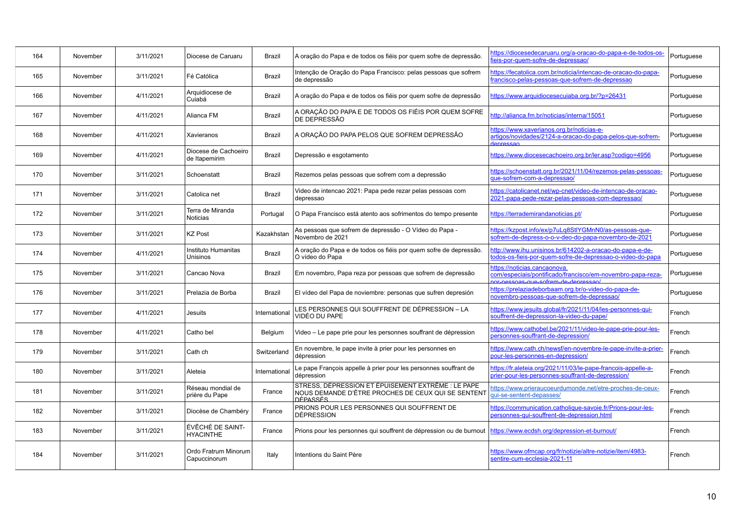| 164 | November | 3/11/2021 | Diocese de Caruaru                    | Brazil        | A oração do Papa e de todos os fiéis por quem sofre de depressão.                                                           | https://diocesedecaruaru.org/a-oracao-do-papa-e-de-todos-os-<br>ieis-por-quem-sofre-de-depressao/                                         | Portuguese |
|-----|----------|-----------|---------------------------------------|---------------|-----------------------------------------------------------------------------------------------------------------------------|-------------------------------------------------------------------------------------------------------------------------------------------|------------|
| 165 | November | 3/11/2021 | Fé Católica                           | <b>Brazil</b> | Intenção de Oração do Papa Francisco: pelas pessoas que sofrem<br>de depressão                                              | https://fecatolica.com.br/noticia/intencao-de-oracao-do-papa-<br>rancisco-pelas-pessoas-que-sofrem-de-depressao                           | Portuguese |
| 166 | November | 4/11/2021 | Arquidiocese de<br>Cuiabá             | <b>Brazil</b> | A oração do Papa e de todos os fiéis por quem sofre de depressão                                                            | https://www.arquidiocesecuiaba.org.br/?p=26431                                                                                            | Portuguese |
| 167 | November | 4/11/2021 | Alianca FM                            | Brazil        | A ORAÇÃO DO PAPA E DE TODOS OS FIÉIS POR QUEM SOFRE<br>DE DEPRESSÃO                                                         | http://alianca.fm.br/noticias/interna/15051                                                                                               | Portuguese |
| 168 | November | 4/11/2021 | Xavieranos                            | <b>Brazil</b> | A ORAÇÃO DO PAPA PELOS QUE SOFREM DEPRESSÃO                                                                                 | https://www.xaverianos.org.br/noticias-e-<br>artigos/novidades/2124-a-oracao-do-papa-pelos-que-sofrem-<br>heresan                         | Portuguese |
| 169 | November | 4/11/2021 | Diocese de Cachoeiro<br>de Itapemirim | <b>Brazil</b> | Depressão e esgotamento                                                                                                     | https://www.diocesecachoeiro.org.br/ler.asp?codigo=4956                                                                                   | Portuguese |
| 170 | November | 3/11/2021 | Schoenstatt                           | <b>Brazil</b> | Rezemos pelas pessoas que sofrem com a depressão                                                                            | https://schoenstatt.org.br/2021/11/04/rezemos-pelas-pessoas-<br>que-sofrem-com-a-depressao/                                               | Portuguese |
| 171 | November | 3/11/2021 | Catolica net                          | <b>Brazil</b> | Video de intencao 2021: Papa pede rezar pelas pessoas com<br>depressao                                                      | https://catolicanet.net/wp-cnet/video-de-intencao-de-oracao-<br>2021-papa-pede-rezar-pelas-pessoas-com-depressao/                         | Portuguese |
| 172 | November | 3/11/2021 | Terra de Miranda<br><b>Noticias</b>   | Portugal      | O Papa Francisco está atento aos sofrimentos do tempo presente                                                              | https://terrademirandanoticias.pt/                                                                                                        | Portuguese |
| 173 | November | 3/11/2021 | <b>KZ Post</b>                        | Kazakhstan    | As pessoas que sofrem de depressão - O Vídeo do Papa -<br>Novembro de 2021                                                  | https://kzpost.info/ex/p7uLq8StlYGMnN0/as-pessoas-que-<br>sofrem-de-depress-o-o-v-deo-do-papa-novembro-de-2021                            | Portuguese |
| 174 | November | 4/11/2021 | Instituto Humanitas<br>Unisinos       | <b>Brazil</b> | A oração do Papa e de todos os fiéis por quem sofre de depressão.<br>O vídeo do Papa                                        | http://www.ihu.unisinos.br/614202-a-oracao-do-papa-e-de-<br>todos-os-fieis-por-quem-sofre-de-depressao-o-video-do-papa                    | Portuguese |
| 175 | November | 3/11/2021 | Cancao Nova                           | Brazil        | Em novembro, Papa reza por pessoas que sofrem de depressão                                                                  | https://noticias.cancaonova.<br>com/especiais/pontificado/francisco/em-novembro-papa-reza-<br><u>nor-pessoas-que-sofrem-de-depressao/</u> | Portuguese |
| 176 | November | 3/11/2021 | Prelazia de Borba                     | <b>Brazil</b> | El vídeo del Papa de noviembre: personas que sufren depresión                                                               | https://prelaziadeborbaam.org.br/o-video-do-papa-de-<br>novembro-pessoas-que-sofrem-de-depressao/                                         | Portuguese |
| 177 | November | 4/11/2021 | Jesuits                               | International | LES PERSONNES QUI SOUFFRENT DE DÉPRESSION – LA<br>VIDÉO DU PAPE                                                             | https://www.jesuits.global/fr/2021/11/04/les-personnes-qui-<br>souffrent-de-depression-la-video-du-pape/                                  | French     |
| 178 | November | 4/11/2021 | Catho bel                             | Belgium       | Video – Le pape prie pour les personnes souffrant de dépression                                                             | https://www.cathobel.be/2021/11/video-le-pape-prie-pour-les-<br>personnes-souffrant-de-depression/                                        | French     |
| 179 | November | 3/11/2021 | Cath ch                               | Switzerland   | En novembre, le pape invite à prier pour les personnes en<br>dépression                                                     | https://www.cath.ch/newsf/en-novembre-le-pape-invite-a-prier-<br>pour-les-personnes-en-depression/                                        | French     |
| 180 | November | 3/11/2021 | Aleteia                               | International | Le pape François appelle à prier pour les personnes souffrant de<br>dépression                                              | https://fr.aleteia.org/2021/11/03/le-pape-francois-appelle-a-<br>prier-pour-les-personnes-souffrant-de-depression/                        | French     |
| 181 | November | 3/11/2021 | Réseau mondial de<br>prière du Pape   | France        | STRESS, DÉPRESSION ET ÉPUISEMENT EXTRÊME : LE PAPE<br>NOUS DEMANDE D'ÊTRE PROCHES DE CEUX QUI SE SENTENT<br><b>DÉPASSÉS</b> | https://www.prieraucoeurdumonde.net/etre-proches-de-ceux-<br>qui-se-sentent-depasses/                                                     | French     |
| 182 | November | 3/11/2021 | Diocèse de Chambéry                   | France        | PRIONS POUR LES PERSONNES QUI SOUFFRENT DE<br><b>DÉPRESSION</b>                                                             | https://communication.catholique-savoie.fr/Prions-pour-les-<br>personnes-qui-souffrent-de-depression.html                                 | French     |
| 183 | November | 3/11/2021 | ÉVÊCHÉ DE SAINT-<br><b>HYACINTHE</b>  | France        | Prions pour les personnes qui souffrent de dépression ou de burnout                                                         | https://www.ecdsh.org/depression-et-burnout/                                                                                              | French     |
| 184 | November | 3/11/2021 | Ordo Fratrum Minorum<br>Capuccinorum  | Italy         | Intentions du Saint Père                                                                                                    | https://www.ofmcap.org/fr/notizie/altre-notizie/item/4983-<br>sentire-cum-ecclesia-2021-11                                                | French     |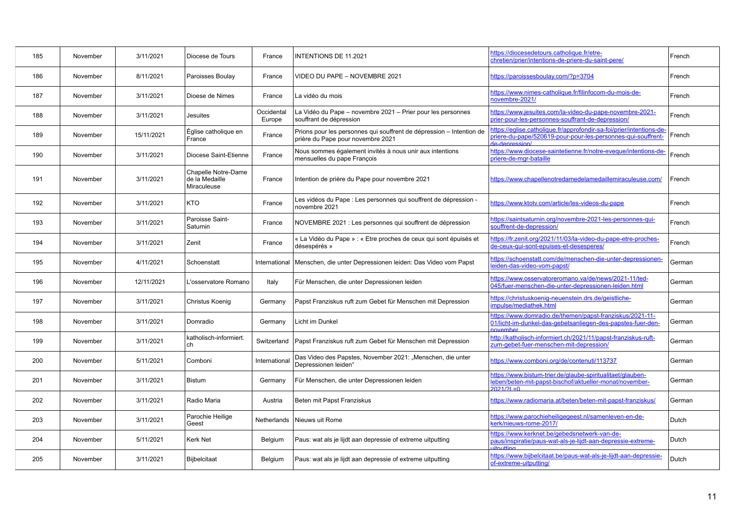| 185 | November | 3/11/2021  | Diocese de Tours                                     | France               | <b>INTENTIONS DE 11.2021</b>                                                                              | https://diocesedetours.catholique.fr/etre-<br>chretien/prier/intentions-de-priere-du-saint-pere/                                                      | French |
|-----|----------|------------|------------------------------------------------------|----------------------|-----------------------------------------------------------------------------------------------------------|-------------------------------------------------------------------------------------------------------------------------------------------------------|--------|
| 186 | November | 8/11/2021  | Paroisses Boulay                                     | France               | VIDEO DU PAPE - NOVEMBRE 2021                                                                             | https://paroissesboulay.com/?p=3704                                                                                                                   | French |
| 187 | November | 3/11/2021  | Dioese de Nimes                                      | France               | La vidéo du mois                                                                                          | https://www.nimes-catholique.fr/filinfocom-du-mois-de-<br>novembre-2021/                                                                              | French |
| 188 | November | 3/11/2021  | <b>Jesuites</b>                                      | Occidental<br>Europe | La Vidéo du Pape – novembre 2021 – Prier pour les personnes<br>souffrant de dépression                    | https://www.jesuites.com/la-video-du-pape-novembre-2021-<br>prier-pour-les-personnes-souffrant-de-depression/                                         | French |
| 189 | November | 15/11/2021 | Église catholique en<br>France                       | France               | Prions pour les personnes qui souffrent de dépression - Intention de<br>prière du Pape pour novembre 2021 | https://eglise.catholique.fr/approfondir-sa-foi/prier/intentions-de-<br>priere-du-pape/520619-pour-pour-les-personnes-qui-souffrent-<br>\noissemeb_eh | French |
| 190 | November | 3/11/2021  | Diocese Saint-Etienne                                | France               | Nous sommes également invités à nous unir aux intentions<br>mensuelles du pape François                   | https://www.diocese-saintetienne.fr/notre-eveque/intentions-de-<br>priere-de-mgr-bataille                                                             | French |
| 191 | November | 3/11/2021  | Chapelle Notre-Dame<br>de la Medaille<br>Miraculeuse | France               | Intention de prière du Pape pour novembre 2021                                                            | https://www.chapellenotredamedelamedaillemiraculeuse.com/                                                                                             | French |
| 192 | November | 3/11/2021  | KTO                                                  | France               | Les vidéos du Pape : Les personnes qui souffrent de dépression -<br>novembre 2021                         | https://www.ktotv.com/article/les-videos-du-pape                                                                                                      | French |
| 193 | November | 3/11/2021  | Paroisse Saint-<br>Saturnin                          | France               | NOVEMBRE 2021 : Les personnes qui souffrent de dépression                                                 | https://saintsaturnin.org/novembre-2021-les-personnes-qui-<br>souffrent-de-depression/                                                                | French |
| 194 | November | 3/11/2021  | Zenit                                                | France               | « La Vidéo du Pape » : « Etre proches de ceux qui sont épuisés et<br>désespérés »                         | https://fr.zenit.org/2021/11/03/la-video-du-pape-etre-proches-<br>de-ceux-qui-sont-epuises-et-desesperes/                                             | French |
| 195 | November | 4/11/2021  | Schoenstatt                                          | International        | Menschen, die unter Depressionen leiden: Das Video vom Papst                                              | https://schoenstatt.com/de/menschen-die-unter-depressionen-<br>eiden-das-video-vom-papst/                                                             | German |
| 196 | November | 12/11/2021 | L'osservatore Romano                                 | Italy                | Für Menschen, die unter Depressionen leiden                                                               | https://www.osservatoreromano.va/de/news/2021-11/ted-<br>045/fuer-menschen-die-unter-depressionen-leiden.html                                         | German |
| 197 | November | 3/11/2021  | Christus Koenig                                      | Germany              | Papst Franziskus ruft zum Gebet für Menschen mit Depression                                               | https://christuskoenig-neuenstein.drs.de/geistliche-<br>mpulse/mediathek.html                                                                         | German |
| 198 | November | 3/11/2021  | Domradio                                             | Germany              | Licht im Dunkel                                                                                           | https://www.domradio.de/themen/papst-franziskus/2021-11-<br>01/licht-im-dunkel-das-gebetsanliegen-des-papstes-fuer-den-<br><b>Ovember</b>             | German |
| 199 | November | 3/11/2021  | katholisch-informiert.<br>ch                         |                      | Switzerland   Papst Franziskus ruft zum Gebet für Menschen mit Depression                                 | http://katholisch-informiert.ch/2021/11/papst-franziskus-ruft-<br>zum-gebet-fuer-menschen-mit-depression/                                             | German |
| 200 | November | 5/11/2021  | Comboni                                              | International        | Das Video des Papstes, November 2021: "Menschen, die unter<br>Depressionen leiden"                        | https://www.comboni.org/de/contenuti/113737                                                                                                           | German |
| 201 | November | 3/11/2021  | Bistum                                               | Germany              | Für Menschen, die unter Depressionen leiden                                                               | https://www.bistum-trier.de/glaube-spiritualitaet/glauben-<br>leben/beten-mit-papst-bischof/aktueller-monat/november-<br>$2021/21 = 0$                | German |
| 202 | November | 3/11/2021  | Radio Maria                                          | Austria              | Beten mit Papst Franziskus                                                                                | https://www.radiomaria.at/beten/beten-mit-papst-franziskus/                                                                                           | German |
| 203 | November | 3/11/2021  | Parochie Heilige<br>Geest                            |                      | Netherlands Nieuws uit Rome                                                                               | https://www.parochieheiligegeest.nl/samenleven-en-de-<br>kerk/nieuws-rome-2017/                                                                       | Dutch  |
| 204 | November | 5/11/2021  | Kerk Net                                             | Belgium              | Paus: wat als je lijdt aan depressie of extreme uitputting                                                | https://www.kerknet.be/gebedsnetwerk-van-de-<br>paus/inspiratie/paus-wat-als-je-lijdt-aan-depressie-extreme-<br>ithutting                             | Dutch  |
| 205 | November | 3/11/2021  | Bijbelcitaat                                         | Belgium              | Paus: wat als je lijdt aan depressie of extreme uitputting                                                | https://www.bijbelcitaat.be/paus-wat-als-je-lijdt-aan-depressie-<br>of-extreme-uitputting/                                                            | Dutch  |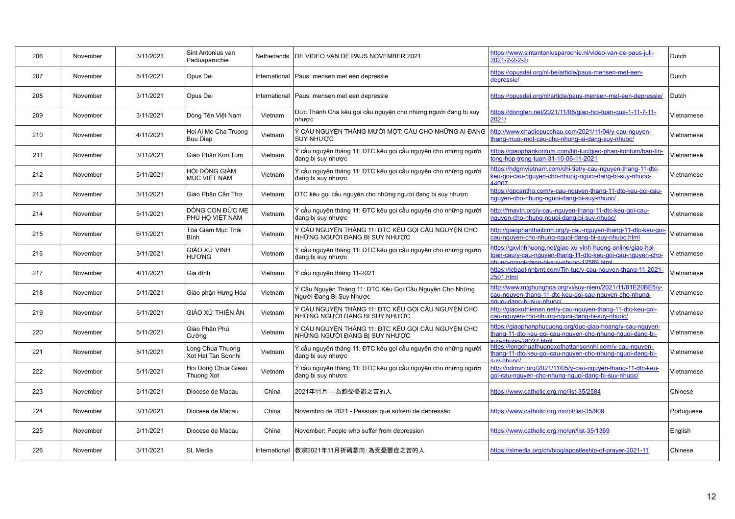| 206 | November | 3/11/2021 | Sint Antonius van<br>Paduaparochie      |         | Netherlands   DE VIDEO VAN DE PAUS NOVEMBER 2021                                   | https://www.sintantoniusparochie.nl/video-van-de-paus-juli-<br>$2021 - 2 - 2 - 2 - 2$                                                                                | Dutch      |
|-----|----------|-----------|-----------------------------------------|---------|------------------------------------------------------------------------------------|----------------------------------------------------------------------------------------------------------------------------------------------------------------------|------------|
| 207 | November | 5/11/2021 | Opus Dei                                |         | International   Paus: mensen met een depressie                                     | https://opusdei.org/nl-be/article/paus-mensen-met-een-<br>depressie/                                                                                                 | Dutch      |
| 208 | November | 3/11/2021 | Opus Dei                                |         | International   Paus: mensen met een depressie                                     | https://opusdei.org/nl/article/paus-mensen-met-een-depressie/                                                                                                        | Dutch      |
| 209 | November | 3/11/2021 | Dòng Tên Việt Nam                       | Vietnam | Đức Thánh Cha kêu gọi cầu nguyện cho những người đang bị suy<br>nhược              | https://dongten.net/2021/11/06/giao-hoi-tuan-gua-1-11-7-11-<br>2021/                                                                                                 | Vietnamese |
| 210 | November | 4/11/2021 | Hoi Ai Mo Cha Truong<br><b>Buu Diep</b> | Vietnam | Ý CẦU NGUYỆN THÁNG MƯỜI MỘT: CẦU CHO NHỮNG AI ĐANG<br><b>SUY NHƯỢC</b>             | http://www.chadiepucchau.com/2021/11/04/y-cau-nguyen-<br>hang-muoi-mot-cau-cho-nhung-ai-dang-suy-nhuoc/                                                              | Vietnamese |
| 211 | November | 3/11/2021 | Giáo Phân Kon Tum                       | Vietnam | Ý cầu nguyện tháng 11: ĐTC kêu gọi cầu nguyện cho những người<br>đang bi suy nhược | https://giaophankontum.com/tin-tuc/giao-phan-kontum/ban-tin-<br>tong-hop-trong-tuan-31-10-06-11-2021                                                                 | Vietnamese |
| 212 | November | 5/11/2021 | HỘI ĐỒNG GIÁM<br><b>MUC VIÊT NAM</b>    | Vietnam | Ý cầu nguyên tháng 11: ĐTC kêu gọi cầu nguyên cho những người<br>đang bi suy nhược | https://hdgmvietnam.com/chi-tiet/y-cau-nguyen-thang-11-dtc-<br>eu-goi-cau-nguyen-cho-nhung-nguoi-dang-bi-suy-nhuoc-<br>14007                                         | Vietnamese |
| 213 | November | 3/11/2021 | Giáo Phân Cần Thơ                       | Vietnam | ĐTC kêu gọi cầu nguyện cho những người đang bị suy nhược                           | https://gpcantho.com/y-cau-nguyen-thang-11-dtc-keu-goi-cau-<br>nguyen-cho-nhung-nguoi-dang-bi-suy-nhuoc/                                                             | Vietnamese |
| 214 | November | 5/11/2021 | DÒNG CON ĐỨC ME<br>PHÙ HỘ VIỆT NAM      | Vietnam | Ý cầu nguyện tháng 11: ĐTC kêu gọi cầu nguyện cho những người<br>đang bị suy nhược | http://fmavtn.org/y-cau-nguyen-thang-11-dtc-keu-goi-cau-<br>nguyen-cho-nhung-nguoi-dang-bi-suy-nhuoc/                                                                | Vietnamese |
| 215 | November | 6/11/2021 | Tòa Giám Mục Thái<br><b>B</b> inh       | Vietnam | Ý CẦU NGUYỆN THÁNG 11: ĐTC KÊU GỌI CẦU NGUYỆN CHO<br>NHỮNG NGƯỜI ĐANG BỊ SUY NHƯỢC | http://giaophanthaibinh.org/y-cau-nguyen-thang-11-dtc-keu-goi-<br>cau-nguyen-cho-nhung-nguoi-dang-bi-suy-nhuoc.html                                                  | Vietnamese |
| 216 | November | 3/11/2021 | <b>GIÁO XÚ VINH</b><br><b>HU'O'NG</b>   | Vietnam | Ý cầu nguyên tháng 11: ĐTC kêu gọi cầu nguyên cho những người<br>đang bị suy nhược | https://gxvinhhuong.net/giao-xu-vinh-huong-online/giao-hoi-<br>toan-cau/y-cau-nguyen-thang-11-dtc-keu-goi-cau-nguyen-cho-<br>hung-nguni-dang-hi-suy-nhung-12569 html | Vietnamese |
| 217 | November | 4/11/2021 | Gia đình                                | Vietnam | Ý cầu nguyên tháng 11-2021                                                         | https://lebaotinhbmt.com/Tin-tuc/y-cau-nguyen-thang-11-2021-<br>2501.html                                                                                            | Vietnamese |
| 218 | November | 5/11/2021 | Giáo phận Hưng Hóa                      | Vietnam | Ý Cầu Nguyện Tháng 11: ĐTC Kêu Gọi Cầu Nguyện Cho Những<br>Người Đang Bi Suy Nhược | http://www.mtghunghoa.org/vi/suy-niem/2021/11/81E20BE5/y-<br>cau-nguyen-thang-11-dtc-keu-goi-cau-nguyen-cho-nhung-<br><u>nguni-dang-hi-suv-nhunc/</u>                | Vietnamese |
| 219 | November | 5/11/2021 | GIÁO XỨ THIÊN ÂN                        | Vietnam | Ý CẦU NGUYỆN THÁNG 11: ĐTC KÊU GỌI CẦU NGUYỆN CHO<br>NHỮNG NGƯỜI ĐANG BI SUY NHƯỢC | http://giaoxuthienan.net/y-cau-nguyen-thang-11-dtc-keu-goi-<br>cau-nguyen-cho-nhung-nguoi-dang-bi-suy-nhuoc/                                                         | Vietnamese |
| 220 | November | 5/11/2021 | Giáo Phân Phú<br>Cường                  | Vietnam | Ý CẦU NGUYỆN THÁNG 11: ĐTC KÊU GỌI CẦU NGUYỆN CHO<br>NHỮNG NGƯỜI ĐANG BỊ SUY NHƯỢC | https://giaophanphucuong.org/duc-giao-hoang/y-cau-nguyen-<br>thang-11-dtc-keu-goi-cau-nguyen-cho-nhung-nguoi-dang-bi-<br>$m$ -nhuoc-28027 html                       | Vietnamese |
| 221 | November | 5/11/2021 | ong Chua Thuong<br>Xot Hat Tan Sonnhi   | Vietnam | Ý cầu nguyện tháng 11: ĐTC kêu gọi cầu nguyện cho những người<br>đang bi suy nhược | https://longchuathuongxothattansonnhi.com/y-cau-nguyen-<br>thang-11-dtc-keu-goi-cau-nguyen-cho-nhung-nguoi-dang-bi-<br>$l$ \ought-vus                                | Vietnamese |
| 222 | November | 5/11/2021 | Hoi Dong Chua Giesu<br>Thuong Xot       | Vietnam | Ý cầu nguyên tháng 11: ĐTC kêu gọi cầu nguyên cho những người<br>đang bị suy nhược | http://odmyn.org/2021/11/05/y-cau-nguyen-thang-11-dtc-keu-<br>goi-cau-nguyen-cho-nhung-nguoi-dang-bi-suy-nhuoc/                                                      | Vietnamese |
| 223 | November | 3/11/2021 | Diocese de Macau                        | China   | 2021年11月 -- 為飽受憂鬱之苦的人                                                              | https://www.catholic.org.mo/list-35/2584                                                                                                                             | Chinese    |
| 224 | November | 3/11/2021 | Diocese de Macau                        | China   | Novembro de 2021 - Pessoas que sofrem de depressão                                 | https://www.catholic.org.mo/pt/list-35/909                                                                                                                           | Portuguese |
| 225 | November | 3/11/2021 | Diocese de Macau                        | China   | November: People who suffer from depression                                        | https://www.catholic.org.mo/en/list-35/1369                                                                                                                          | English    |
| 226 | November | 3/11/2021 | <b>SL Media</b>                         |         | International  教宗2021年11月祈禱意向: 為受憂鬱症之苦的人                                           | https://slmedia.org/ch/blog/apostleship-of-prayer-2021-11                                                                                                            | Chinese    |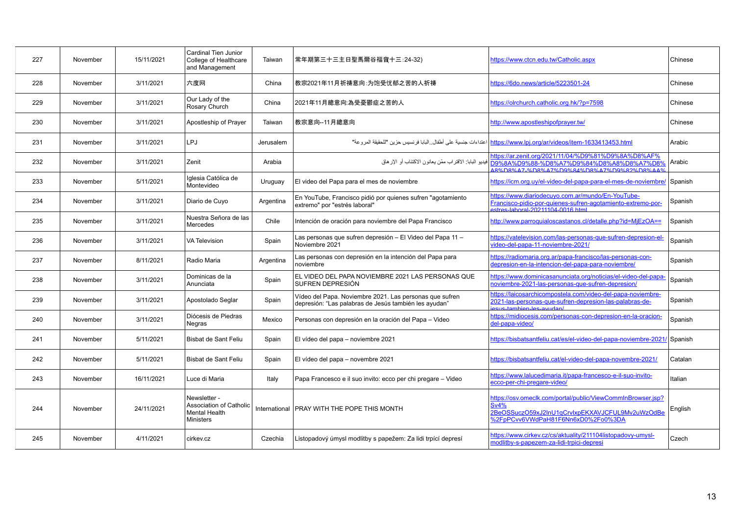| 227 | November | 15/11/2021 | Cardinal Tien Junior<br>College of Healthcare<br>and Management              | Taiwan    | 常年期第三十三主日聖馬爾谷福音十三:24-32)                                                                                         | https://www.ctcn.edu.tw/Catholic.aspx                                                                                                                               | Chinese |
|-----|----------|------------|------------------------------------------------------------------------------|-----------|------------------------------------------------------------------------------------------------------------------|---------------------------------------------------------------------------------------------------------------------------------------------------------------------|---------|
| 228 | November | 3/11/2021  | 六度网                                                                          | China     | 教宗2021年11月祈祷意向:为饱受忧郁之苦的人祈祷                                                                                       | https://6do.news/article/5223501-24                                                                                                                                 | Chinese |
| 229 | November | 3/11/2021  | Our Lady of the<br>Rosary Church                                             | China     | 2021年11月總意向:為受憂鬱症之苦的人                                                                                            | https://olrchurch.catholic.org.hk/?p=7598                                                                                                                           | Chinese |
| 230 | November | 3/11/2021  | Apostleship of Prayer                                                        | Taiwan    | 教宗意向--11月總意向                                                                                                     | http://www.apostleshipofprayer.tw/                                                                                                                                  | Chinese |
| 231 | November | 3/11/2021  | LPJ                                                                          | Jerusalem |                                                                                                                  | https://www.lpj.org/ar/videos/item-1633413453.html   اعتداءات جنسية على أطفال ِ البابا فرنسيس حزين "للحقيقة المروعة"                                                | Arabic  |
| 232 | November | 3/11/2021  | Zenit                                                                        | Arabia    | فيديو البابا: الاقتر اب ممّن يعانون الاكتئاب أو الإر هاق                                                         | https://ar.zenit.org/2021/11/04/%D9%81%D9%8A%D8%AF%<br>09%8A%D9%88-%D8%A7%D9%84%D8%A8%D8%A7%D8%<br>A8%D8%A7-%D8%A7%D9%84%D8%A7%D9%82%D8%AA%                         | Arabic  |
| 233 | November | 5/11/2021  | Iglesia Católica de<br>Montevideo                                            | Uruguay   | El video del Papa para el mes de noviembre                                                                       | https://icm.org.uy/el-video-del-papa-para-el-mes-de-noviembre/                                                                                                      | Spanish |
| 234 | November | 3/11/2021  | Diario de Cuyo                                                               | Argentina | En YouTube, Francisco pidió por quienes sufren "agotamiento<br>extremo" por "estrés laboral"                     | https://www.diariodecuyo.com.ar/mundo/En-YouTube-<br>Francisco-pidio-por-quienes-sufren-agotamiento-extremo-por-<br>stres-laboral-20211104-0016 html                | Spanish |
| 235 | November | 3/11/2021  | Nuestra Señora de las<br><b>Mercedes</b>                                     | Chile     | Intención de oración para noviembre del Papa Francisco                                                           | http://www.parroquialoscastanos.cl/detalle.php?id=MjEzOA==                                                                                                          | Spanish |
| 236 | November | 3/11/2021  | <b>VA Television</b>                                                         | Spain     | Las personas que sufren depresión – El Video del Papa 11 –<br>Noviembre 2021                                     | https://vatelevision.com/las-personas-que-sufren-depresion-el-<br>video-del-papa-11-noviembre-2021/                                                                 | Spanish |
| 237 | November | 8/11/2021  | Radio Maria                                                                  | Argentina | Las personas con depresión en la intención del Papa para<br>noviembre                                            | https://radiomaria.org.ar/papa-francisco/las-personas-con-<br>depresion-en-la-intencion-del-papa-para-noviembre/                                                    | Spanish |
| 238 | November | 3/11/2021  | Dominicas de la<br>Anunciata                                                 | Spain     | EL VIDEO DEL PAPA NOVIEMBRE 2021 LAS PERSONAS QUE<br>SUFREN DEPRESIÓN                                            | https://www.dominicasanunciata.org/noticias/el-video-del-papa-<br>noviembre-2021-las-personas-que-sufren-depresion/                                                 | Spanish |
| 239 | November | 3/11/2021  | Apostolado Seglar                                                            | Spain     | Vídeo del Papa. Noviembre 2021. Las personas que sufren<br>depresión: "Las palabras de Jesús también les ayudan" | https://laicosarchicompostela.com/video-del-papa-noviembre-<br>2021-las-personas-que-sufren-depresion-las-palabras-de-<br><u>ssus-tambien-les-avudan/</u>           | Spanish |
| 240 | November | 3/11/2021  | Diócesis de Piedras<br>Negras                                                | Mexico    | Personas con depresión en la oración del Papa - Video                                                            | https://midiocesis.com/personas-con-depresion-en-la-oracion-<br>del-papa-video/                                                                                     | Spanish |
| 241 | November | 5/11/2021  | Bisbat de Sant Feliu                                                         | Spain     | El vídeo del papa - noviembre 2021                                                                               | https://bisbatsantfeliu.cat/es/el-video-del-papa-noviembre-2021/ Spanish                                                                                            |         |
| 242 | November | 5/11/2021  | Bisbat de Sant Feliu                                                         | Spain     | El vídeo del papa - novembre 2021                                                                                | https://bisbatsantfeliu.cat/el-video-del-papa-novembre-2021/                                                                                                        | Catalan |
| 243 | November | 16/11/2021 | Luce di Maria                                                                | Italy     | Papa Francesco e il suo invito: ecco per chi pregare – Video                                                     | https://www.lalucedimaria.it/papa-francesco-e-il-suo-invito-<br>ecco-per-chi-pregare-video/                                                                         | Italian |
| 244 | November | 24/11/2021 | Newsletter -<br>Association of Catholic<br>Mental Health<br><b>Ministers</b> |           | International PRAY WITH THE POPE THIS MONTH                                                                      | https://osv.omeclk.com/portal/public/ViewCommInBrowser.jsp?<br><b>Sv4%</b><br>2BeOSSuczO59xJ2InU1qCrvlxpEKXAVJCFUL9Mv2uWzOdBe<br>%2FpPCvv6VWdPaH81F6Nn6xD0%2Fo0%3DA | English |
| 245 | November | 4/11/2021  | cirkev.cz                                                                    | Czechia   | Listopadový úmysl modlitby s papežem: Za lidi trpící depresí                                                     | https://www.cirkey.cz/cs/aktuality/211104listopadovy-umysl-<br>modlitby-s-papezem-za-lidi-trpici-depresi                                                            | Czech   |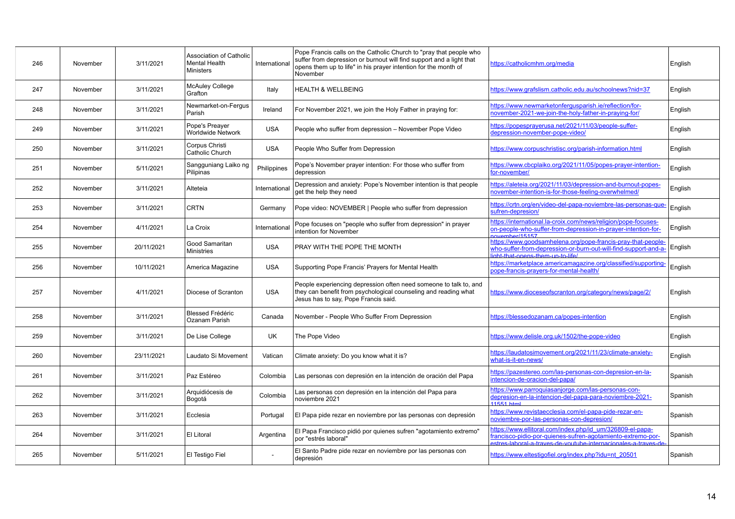| 246 | November | 3/11/2021  | <b>Association of Catholic</b><br><b>Mental Health</b><br><b>Ministers</b> | International | Pope Francis calls on the Catholic Church to "pray that people who<br>suffer from depression or burnout will find support and a light that<br>opens them up to life" in his prayer intention for the month of<br>November | https://catholicmhm.org/media                                                                                                                                                          | English |
|-----|----------|------------|----------------------------------------------------------------------------|---------------|---------------------------------------------------------------------------------------------------------------------------------------------------------------------------------------------------------------------------|----------------------------------------------------------------------------------------------------------------------------------------------------------------------------------------|---------|
| 247 | November | 3/11/2021  | <b>McAuley College</b><br>Grafton                                          | Italy         | HEALTH & WELLBEING                                                                                                                                                                                                        | https://www.grafslism.catholic.edu.au/schoolnews?nid=37                                                                                                                                | English |
| 248 | November | 3/11/2021  | Newmarket-on-Fergus<br>Parish                                              | Ireland       | For November 2021, we join the Holy Father in praying for:                                                                                                                                                                | https://www.newmarketonferqusparish.ie/reflection/for-<br>november-2021-we-join-the-holy-father-in-praying-for/                                                                        | English |
| 249 | November | 3/11/2021  | Pope's Preaver<br><b>Worldwide Network</b>                                 | <b>USA</b>    | People who suffer from depression - November Pope Video                                                                                                                                                                   | https://popesprayerusa.net/2021/11/03/people-suffer-<br>depression-november-pope-video/                                                                                                | English |
| 250 | November | 3/11/2021  | Corpus Christi<br>Catholic Church                                          | <b>USA</b>    | People Who Suffer from Depression                                                                                                                                                                                         | https://www.corpuschristisc.org/parish-information.html                                                                                                                                | English |
| 251 | November | 5/11/2021  | Sangguniang Laiko ng<br>Pilipinas                                          | Philippines   | Pope's November prayer intention: For those who suffer from<br>depression                                                                                                                                                 | https://www.cbcplaiko.org/2021/11/05/popes-prayer-intention-<br>for-november/                                                                                                          | English |
| 252 | November | 3/11/2021  | Alteteia                                                                   | International | Depression and anxiety: Pope's November intention is that people<br>get the help they need                                                                                                                                | https://aleteia.org/2021/11/03/depression-and-burnout-popes-<br>november-intention-is-for-those-feeling-overwhelmed/                                                                   | English |
| 253 | November | 3/11/2021  | <b>CRTN</b>                                                                | Germany       | Pope video: NOVEMBER   People who suffer from depression                                                                                                                                                                  | https://crtn.org/en/video-del-papa-noviembre-las-personas-que-<br>sufren-depresion/                                                                                                    | English |
| 254 | November | 4/11/2021  | La Croix                                                                   | International | Pope focuses on "people who suffer from depression" in prayer<br>intention for November                                                                                                                                   | https://international.la-croix.com/news/religion/pope-focuses-<br>on-people-who-suffer-from-depression-in-prayer-intention-for-<br>nvember/15157                                       | English |
| 255 | November | 20/11/2021 | Good Samaritan<br><b>Ministries</b>                                        | <b>USA</b>    | PRAY WITH THE POPE THE MONTH                                                                                                                                                                                              | https://www.goodsamhelena.org/pope-francis-pray-that-people-<br>who-suffer-from-depression-or-burn-out-will-find-support-and-a-<br>nht-that-onens-them-un-to-life/                     | English |
| 256 | November | 10/11/2021 | America Magazine                                                           | <b>USA</b>    | Supporting Pope Francis' Prayers for Mental Health                                                                                                                                                                        | https://marketplace.americamagazine.org/classified/supporting-<br>pope-francis-prayers-for-mental-health/                                                                              | English |
| 257 | November | 4/11/2021  | Diocese of Scranton                                                        | <b>USA</b>    | People experiencing depression often need someone to talk to, and<br>they can benefit from psychological counseling and reading what<br>Jesus has to say, Pope Francis said.                                              | https://www.dioceseofscranton.org/category/news/page/2/                                                                                                                                | English |
| 258 | November | 3/11/2021  | <b>Blessed Frédéric</b><br>Ozanam Parish                                   | Canada        | November - People Who Suffer From Depression                                                                                                                                                                              | https://blessedozanam.ca/popes-intention                                                                                                                                               | English |
| 259 | November | 3/11/2021  | De Lise College                                                            | UK            | The Pope Video                                                                                                                                                                                                            | https://www.delisle.org.uk/1502/the-pope-video                                                                                                                                         | English |
| 260 | November | 23/11/2021 | Laudato Si Movement                                                        | Vatican       | Climate anxiety: Do you know what it is?                                                                                                                                                                                  | https://laudatosimovement.org/2021/11/23/climate-anxiety-<br>what-is-it-en-news/                                                                                                       | English |
| 261 | November | 3/11/2021  | Paz Estéreo                                                                | Colombia      | Las personas con depresión en la intención de oración del Papa                                                                                                                                                            | https://pazestereo.com/las-personas-con-depresion-en-la-<br>intencion-de-oracion-del-papa/                                                                                             | Spanish |
| 262 | November | 3/11/2021  | Arquidiócesis de<br>Bogotá                                                 | Colombia      | Las personas con depresión en la intención del Papa para<br>noviembre 2021                                                                                                                                                | https://www.parroquiasanjorge.com/las-personas-con-<br>depresion-en-la-intencion-del-papa-para-noviembre-2021-<br>$11551$ html                                                         | Spanish |
| 263 | November | 3/11/2021  | Ecclesia                                                                   | Portugal      | El Papa pide rezar en noviembre por las personas con depresión                                                                                                                                                            | https://www.revistaecclesia.com/el-papa-pide-rezar-en-<br>noviembre-por-las-personas-con-depresion/                                                                                    | Spanish |
| 264 | November | 3/11/2021  | El Litoral                                                                 | Argentina     | El Papa Francisco pidió por quienes sufren "agotamiento extremo"<br>por "estrés laboral"                                                                                                                                  | https://www.ellitoral.com/index.php/id_um/326809-el-papa-<br>francisco-pidio-por-quienes-sufren-agotamiento-extremo-por-<br>stres-laboral-a-traves-de-voutube-internacionales-a-traves | Spanish |
| 265 | November | 5/11/2021  | El Testigo Fiel                                                            |               | El Santo Padre pide rezar en noviembre por las personas con<br>depresión                                                                                                                                                  | https://www.eltestigofiel.org/index.php?idu=nt_20501                                                                                                                                   | Spanish |